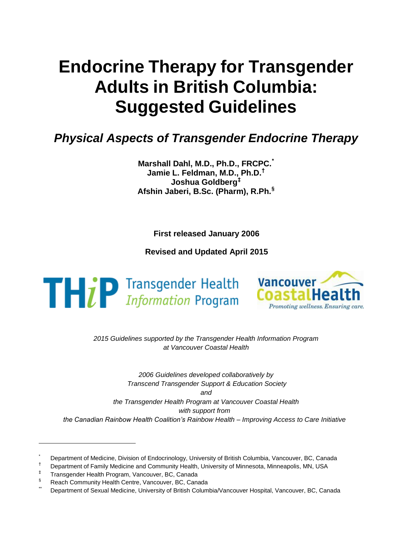# **Endocrine Therapy for Transgender Adults in British Columbia: Suggested Guidelines**

# *Physical Aspects of Transgender Endocrine Therapy*

**Marshall Dahl, M.D., Ph.D., FRCPC. \* Jamie L. Feldman, M.D., Ph.D. † Joshua Goldberg ‡ Afshin Jaberi, B.Sc. (Pharm), R.Ph. §**

**First released January 2006**

**Revised and Updated April 2015**

 $\mathbf{T} \boldsymbol{\vdash} i$  P Transgender Health



*2015 Guidelines supported by the Transgender Health Information Program at Vancouver Coastal Health*

*2006 Guidelines developed collaboratively by Transcend Transgender Support & Education Society and the Transgender Health Program at Vancouver Coastal Health with support from the Canadian Rainbow Health Coalition's Rainbow Health – Improving Access to Care Initiative*

Department of Medicine, Division of Endocrinology, University of British Columbia, Vancouver, BC, Canada

<sup>†</sup> Department of Family Medicine and Community Health, University of Minnesota, Minneapolis, MN, USA

<sup>‡</sup> Transgender Health Program, Vancouver, BC, Canada

<sup>§</sup> Reach Community Health Centre, Vancouver, BC, Canada

Department of Sexual Medicine, University of British Columbia/Vancouver Hospital, Vancouver, BC, Canada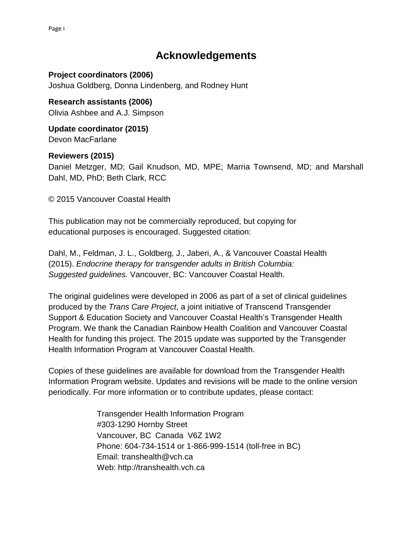## **Acknowledgements**

**Project coordinators (2006)** Joshua Goldberg, Donna Lindenberg, and Rodney Hunt

**Research assistants (2006)**  Olivia Ashbee and A.J. Simpson

**Update coordinator (2015)** Devon MacFarlane

**Reviewers (2015)**  Daniel Metzger, MD; Gail Knudson, MD, MPE; Marria Townsend, MD; and Marshall Dahl, MD, PhD; Beth Clark, RCC

© 2015 Vancouver Coastal Health

This publication may not be commercially reproduced, but copying for educational purposes is encouraged. Suggested citation:

Dahl, M., Feldman, J. L., Goldberg, J., Jaberi, A., & Vancouver Coastal Health (2015). *Endocrine therapy for transgender adults in British Columbia: Suggested guidelines.* Vancouver, BC: Vancouver Coastal Health.

The original guidelines were developed in 2006 as part of a set of clinical guidelines produced by the *Trans Care Project*, a joint initiative of Transcend Transgender Support & Education Society and Vancouver Coastal Health's Transgender Health Program. We thank the Canadian Rainbow Health Coalition and Vancouver Coastal Health for funding this project. The 2015 update was supported by the Transgender Health Information Program at Vancouver Coastal Health.

[Copies of these guidelines are ava](http://www.vch.ca/transhealth)ilable for download from the Transgender Health Information Program website. Updates and revisions will be made to the online version periodically. For more information or to contribute updates, please contact:

> Transgender Health Information Program #303-1290 Hornby Street Vancouver, BC Canada V6Z 1W2 [Phone: 604-734-151](mailto:trans.health@vch.ca)4 or 1-866-999-1514 (toll-free in BC) Email: [transhealth@vch.ca](mailto:transhealth@vch.ca) Web: [http://transhealth.vch.ca](http://www.vch.ca/transhealth)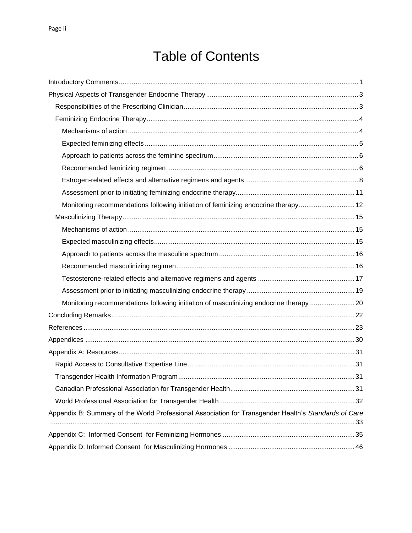# Table of Contents

| Monitoring recommendations following initiation of feminizing endocrine therapy 12                   |  |
|------------------------------------------------------------------------------------------------------|--|
|                                                                                                      |  |
|                                                                                                      |  |
|                                                                                                      |  |
|                                                                                                      |  |
|                                                                                                      |  |
|                                                                                                      |  |
|                                                                                                      |  |
| Monitoring recommendations following initiation of masculinizing endocrine therapy 20                |  |
|                                                                                                      |  |
|                                                                                                      |  |
|                                                                                                      |  |
|                                                                                                      |  |
|                                                                                                      |  |
|                                                                                                      |  |
|                                                                                                      |  |
|                                                                                                      |  |
| Appendix B: Summary of the World Professional Association for Transgender Health's Standards of Care |  |
|                                                                                                      |  |
|                                                                                                      |  |
|                                                                                                      |  |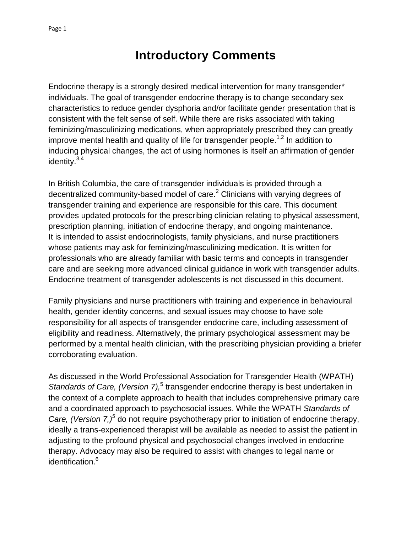# **Introductory Comments**

<span id="page-3-0"></span>Endocrine therapy is a strongly desired medical intervention for many transgender\* individuals. The goal of transgender endocrine therapy is to change secondary sex characteristics to reduce gender dysphoria and/or facilitate gender presentation that is consistent with the felt sense of self. While there are risks associated with taking feminizing/masculinizing medications, when appropriately prescribed they can greatly improve mental health and quality of life for transgender people.<sup>1,2</sup> In addition to inducing physical changes, the act of using hormones is itself an affirmation of gender identity.<sup>3,4</sup>

In British Columbia, the care of transgender individuals is provided through a decentralized community-based model of care. $<sup>2</sup>$  Clinicians with varying degrees of</sup> transgender training and experience are responsible for this care. This document provides updated protocols for the prescribing clinician relating to physical assessment, prescription planning, initiation of endocrine therapy, and ongoing maintenance. It is intended to assist endocrinologists, family physicians, and nurse practitioners whose patients may ask for feminizing/masculinizing medication. It is written for professionals who are already familiar with basic terms and concepts in transgender care and are seeking more advanced clinical guidance in work with transgender adults. Endocrine treatment of transgender adolescents is not discussed in this document.

Family physicians and nurse practitioners with training and experience in behavioural health, gender identity concerns, and sexual issues may choose to have sole responsibility for all aspects of transgender endocrine care, including assessment of eligibility and readiness. Alternatively, the primary psychological assessment may be performed by a mental health clinician, with the prescribing physician providing a briefer corroborating evaluation.

As discussed in the World Professional Association for Transgender Health (WPATH) Standards of Care, (Version 7),<sup>5</sup> transgender endocrine therapy is best undertaken in the context of a complete approach to health that includes comprehensive primary care and a coordinated approach to psychosocial issues. While the WPATH *Standards of Care, (Version 7,)<sup>5</sup>* do not require psychotherapy prior to initiation of endocrine therapy, ideally a trans-experienced therapist will be available as needed to assist the patient in adjusting to the profound physical and psychosocial changes involved in endocrine therapy. Advocacy may also be required to assist with changes to legal name or identification. 6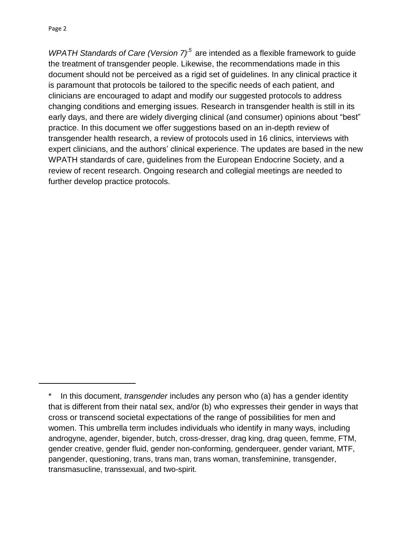Page 2

*WPATH Standards of Care (Version 7)<sup>5</sup>* are intended as a flexible framework to guide the treatment of transgender people. Likewise, the recommendations made in this document should not be perceived as a rigid set of guidelines. In any clinical practice it is paramount that protocols be tailored to the specific needs of each patient, and clinicians are encouraged to adapt and modify our suggested protocols to address changing conditions and emerging issues. Research in transgender health is still in its early days, and there are widely diverging clinical (and consumer) opinions about "best" practice. In this document we offer suggestions based on an in-depth review of transgender health research, a review of protocols used in 16 clinics, interviews with expert clinicians, and the authors' clinical experience. The updates are based in the new WPATH standards of care, guidelines from the European Endocrine Society, and a review of recent research. Ongoing research and collegial meetings are needed to further develop practice protocols.

<sup>\*</sup> In this document, *transgender* includes any person who (a) has a gender identity that is different from their natal sex, and/or (b) who expresses their gender in ways that cross or transcend societal expectations of the range of possibilities for men and women. This umbrella term includes individuals who identify in many ways, including androgyne, agender, bigender, butch, cross-dresser, drag king, drag queen, femme, FTM, gender creative, gender fluid, gender non-conforming, genderqueer, gender variant, MTF, pangender, questioning, trans, trans man, trans woman, transfeminine, transgender, transmasucline, transsexual, and two-spirit.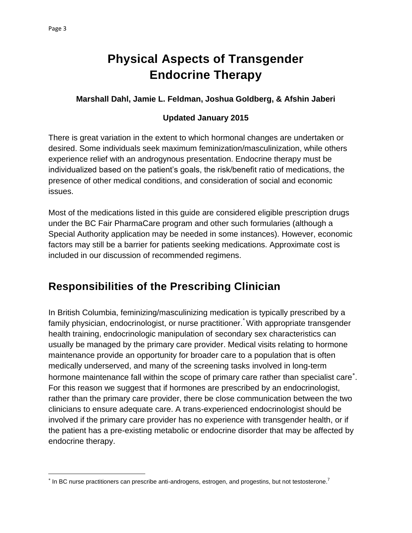$\overline{a}$ 

# **Physical Aspects of Transgender Endocrine Therapy**

#### <span id="page-5-0"></span>**Marshall Dahl, Jamie L. Feldman, Joshua Goldberg, & Afshin Jaberi**

#### **Updated January 2015**

There is great variation in the extent to which hormonal changes are undertaken or desired. Some individuals seek maximum feminization/masculinization, while others experience relief with an androgynous presentation. Endocrine therapy must be individualized based on the patient's goals, the risk/benefit ratio of medications, the presence of other medical conditions, and consideration of social and economic issues.

Most of the medications listed in this guide are considered eligible prescription drugs under the BC Fair PharmaCare program and other such formularies (although a Special Authority application may be needed in some instances). However, economic factors may still be a barrier for patients seeking medications. Approximate cost is included in our discussion of recommended regimens.

## <span id="page-5-1"></span>**Responsibilities of the Prescribing Clinician**

In British Columbia, feminizing/masculinizing medication is typically prescribed by a family physician, endocrinologist, or nurse practitioner.<sup>\*</sup> With appropriate transgender health training, endocrinologic manipulation of secondary sex characteristics can usually be managed by the primary care provider. Medical visits relating to hormone maintenance provide an opportunity for broader care to a population that is often medically underserved, and many of the screening tasks involved in long-term hormone maintenance fall within the scope of primary care rather than specialist care . For this reason we suggest that if hormones are prescribed by an endocrinologist, rather than the primary care provider, there be close communication between the two clinicians to ensure adequate care. A trans-experienced endocrinologist should be involved if the primary care provider has no experience with transgender health, or if the patient has a pre-existing metabolic or endocrine disorder that may be affected by endocrine therapy.

 $^*$  In BC nurse practitioners can prescribe anti-androgens, estrogen, and progestins, but not testosterone.<sup>7</sup>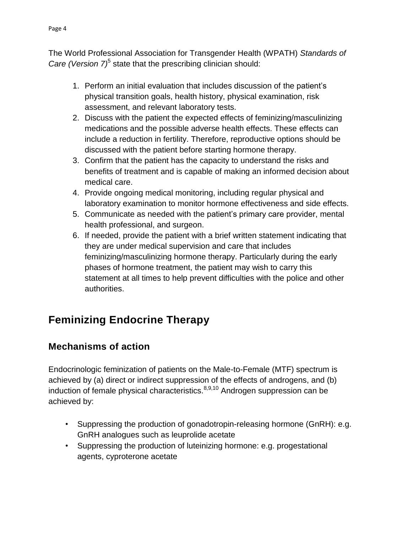The World Professional Association for Transgender Health (WPATH) *Standards of*  Care *(Version 7)*<sup>5</sup> state that the prescribing clinician should:

- 1. Perform an initial evaluation that includes discussion of the patient's physical transition goals, health history, physical examination, risk assessment, and relevant laboratory tests.
- 2. Discuss with the patient the expected effects of feminizing/masculinizing medications and the possible adverse health effects. These effects can include a reduction in fertility. Therefore, reproductive options should be discussed with the patient before starting hormone therapy.
- 3. Confirm that the patient has the capacity to understand the risks and benefits of treatment and is capable of making an informed decision about medical care.
- 4. Provide ongoing medical monitoring, including regular physical and laboratory examination to monitor hormone effectiveness and side effects.
- 5. Communicate as needed with the patient's primary care provider, mental health professional, and surgeon.
- 6. If needed, provide the patient with a brief written statement indicating that they are under medical supervision and care that includes feminizing/masculinizing hormone therapy. Particularly during the early phases of hormone treatment, the patient may wish to carry this statement at all times to help prevent difficulties with the police and other authorities.

# <span id="page-6-0"></span>**Feminizing Endocrine Therapy**

### <span id="page-6-1"></span>**Mechanisms of action**

Endocrinologic feminization of patients on the Male-to-Female (MTF) spectrum is achieved by (a) direct or indirect suppression of the effects of androgens, and (b) induction of female physical characteristics. $8,9,10$  Androgen suppression can be achieved by:

- Suppressing the production of gonadotropin-releasing hormone (GnRH): e.g. GnRH analogues such as leuprolide acetate
- Suppressing the production of luteinizing hormone: e.g. progestational agents, cyproterone acetate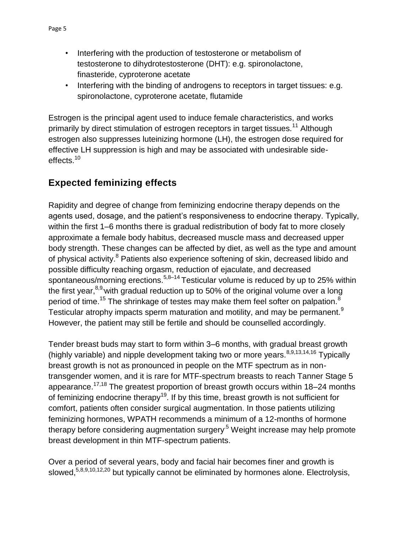- Interfering with the production of testosterone or metabolism of testosterone to dihydrotestosterone (DHT): e.g. spironolactone, finasteride, cyproterone acetate
- Interfering with the binding of androgens to receptors in target tissues: e.g. spironolactone, cyproterone acetate, flutamide

Estrogen is the principal agent used to induce female characteristics, and works primarily by direct stimulation of estrogen receptors in target tissues.<sup>11</sup> Although estrogen also suppresses luteinizing hormone (LH), the estrogen dose required for effective LH suppression is high and may be associated with undesirable sideeffects.<sup>10</sup>

### <span id="page-7-0"></span>**Expected feminizing effects**

Rapidity and degree of change from feminizing endocrine therapy depends on the agents used, dosage, and the patient's responsiveness to endocrine therapy. Typically, within the first 1–6 months there is gradual redistribution of body fat to more closely approximate a female body habitus, decreased muscle mass and decreased upper body strength. These changes can be affected by diet, as well as the type and amount of physical activity.<sup>8</sup> Patients also experience softening of skin, decreased libido and possible difficulty reaching orgasm, reduction of ejaculate, and decreased spontaneous/morning erections.<sup>5,8–14</sup> Testicular volume is reduced by up to 25% within the first year,  $8,9$ , with gradual reduction up to 50% of the original volume over a long period of time.<sup>15</sup> The shrinkage of testes may make them feel softer on palpation.<sup>8</sup> Testicular atrophy impacts sperm maturation and motility, and may be permanent.<sup>9</sup> However, the patient may still be fertile and should be counselled accordingly.

Tender breast buds may start to form within 3–6 months, with gradual breast growth (highly variable) and nipple development taking two or more years.  $8,9,13,14,16$  Typically breast growth is not as pronounced in people on the MTF spectrum as in nontransgender women, and it is rare for MTF-spectrum breasts to reach Tanner Stage 5 appearance.17,18 The greatest proportion of breast growth occurs within 18–24 months of feminizing endocrine therapy<sup>19</sup>. If by this time, breast growth is not sufficient for comfort, patients often consider surgical augmentation. In those patients utilizing feminizing hormones, WPATH recommends a minimum of a 12-months of hormone therapy before considering augmentation surgery<sup>5</sup> Weight increase may help promote breast development in thin MTF-spectrum patients.

Over a period of several years, body and facial hair becomes finer and growth is slowed,  $5,8,9,10,12,20$  but typically cannot be eliminated by hormones alone. Electrolysis,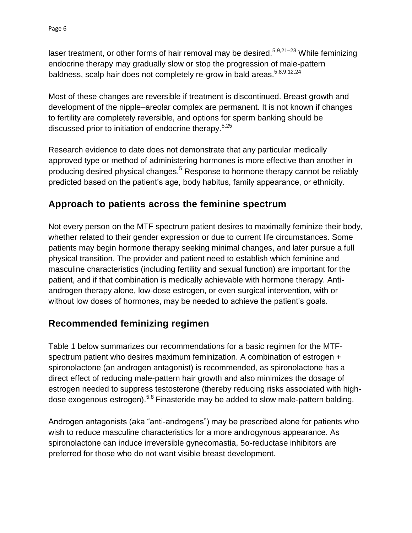laser treatment, or other forms of hair removal may be desired.<sup>5,9,21-23</sup> While feminizing endocrine therapy may gradually slow or stop the progression of male-pattern baldness, scalp hair does not completely re-grow in bald areas.<sup>5,8,9,12,24</sup>

Most of these changes are reversible if treatment is discontinued. Breast growth and development of the nipple–areolar complex are permanent. It is not known if changes to fertility are completely reversible, and options for sperm banking should be discussed prior to initiation of endocrine therapy.<sup>5,25</sup>

Research evidence to date does not demonstrate that any particular medically approved type or method of administering hormones is more effective than another in producing desired physical changes.<sup>5</sup> Response to hormone therapy cannot be reliably predicted based on the patient's age, body habitus, family appearance, or ethnicity.

### <span id="page-8-0"></span>**Approach to patients across the feminine spectrum**

Not every person on the MTF spectrum patient desires to maximally feminize their body, whether related to their gender expression or due to current life circumstances. Some patients may begin hormone therapy seeking minimal changes, and later pursue a full physical transition. The provider and patient need to establish which feminine and masculine characteristics (including fertility and sexual function) are important for the patient, and if that combination is medically achievable with hormone therapy. Antiandrogen therapy alone, low-dose estrogen, or even surgical intervention, with or without low doses of hormones, may be needed to achieve the patient's goals.

### <span id="page-8-1"></span>**Recommended feminizing regimen**

Table 1 below summarizes our recommendations for a basic regimen for the MTFspectrum patient who desires maximum feminization. A combination of estrogen + spironolactone (an androgen antagonist) is recommended, as spironolactone has a direct effect of reducing male-pattern hair growth and also minimizes the dosage of estrogen needed to suppress testosterone (thereby reducing risks associated with highdose exogenous estrogen).5,8 Finasteride may be added to slow male-pattern balding.

Androgen antagonists (aka "anti-androgens") may be prescribed alone for patients who wish to reduce masculine characteristics for a more androgynous appearance. As spironolactone can induce irreversible gynecomastia, 5α-reductase inhibitors are preferred for those who do not want visible breast development.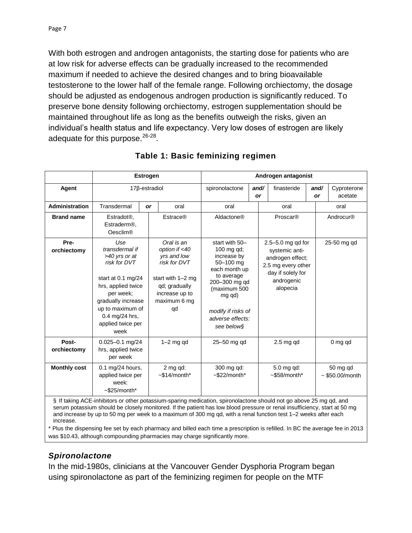With both estrogen and androgen antagonists, the starting dose for patients who are at low risk for adverse effects can be gradually increased to the recommended maximum if needed to achieve the desired changes and to bring bioavailable testosterone to the lower half of the female range. Following orchiectomy, the dosage should be adjusted as endogenous androgen production is significantly reduced. To preserve bone density following orchiectomy, estrogen supplementation should be maintained throughout life as long as the benefits outweigh the risks, given an individual's health status and life expectancy. Very low doses of estrogen are likely adequate for this purpose.<sup>26-28</sup>.

|                                                                                                                                                                                                                                                                                                                                                                    | <b>Estrogen</b>                                                                                                                                                                                          |    |                                                                                                                                          | Androgen antagonist                                                                                                                                                                        |            |                                                                                                                              |            |  |                              |
|--------------------------------------------------------------------------------------------------------------------------------------------------------------------------------------------------------------------------------------------------------------------------------------------------------------------------------------------------------------------|----------------------------------------------------------------------------------------------------------------------------------------------------------------------------------------------------------|----|------------------------------------------------------------------------------------------------------------------------------------------|--------------------------------------------------------------------------------------------------------------------------------------------------------------------------------------------|------------|------------------------------------------------------------------------------------------------------------------------------|------------|--|------------------------------|
| Agent                                                                                                                                                                                                                                                                                                                                                              | 17β-estradiol                                                                                                                                                                                            |    |                                                                                                                                          | spironolactone                                                                                                                                                                             | and/<br>or | finasteride                                                                                                                  | and/<br>or |  | Cyproterone<br>acetate       |
| Administration                                                                                                                                                                                                                                                                                                                                                     | Transdermal                                                                                                                                                                                              | or | oral                                                                                                                                     | oral                                                                                                                                                                                       |            | oral                                                                                                                         |            |  | oral                         |
| <b>Brand name</b>                                                                                                                                                                                                                                                                                                                                                  | Estradot <sup>®</sup> ,<br>Estraderm <sup>®</sup> ,<br><b>Oesclim®</b>                                                                                                                                   |    | <b>Estrace®</b>                                                                                                                          | Aldactone®                                                                                                                                                                                 |            | Proscar®                                                                                                                     |            |  | Androcur®                    |
| Pre-<br>orchiectomy                                                                                                                                                                                                                                                                                                                                                | Use<br>transdermal if<br>>40 yrs or at<br>risk for DVT<br>start at 0.1 mg/24<br>hrs, applied twice<br>per week:<br>gradually increase<br>up to maximum of<br>0.4 mg/24 hrs,<br>applied twice per<br>week |    | Oral is an<br>option if <40<br>yrs and low<br>risk for DVT<br>start with 1-2 mg<br>qd; gradually<br>increase up to<br>maximum 6 mg<br>qd | start with 50-<br>100 mg qd;<br>increase by<br>50-100 mg<br>each month up<br>to average<br>200-300 mg qd<br>(maximum 500<br>mg qd)<br>modify if risks of<br>adverse effects:<br>see below§ |            | 2.5-5.0 mg qd for<br>systemic anti-<br>androgen effect;<br>2.5 mg every other<br>day if solely for<br>androgenic<br>alopecia |            |  | 25-50 mg qd                  |
| Post-<br>orchiectomy                                                                                                                                                                                                                                                                                                                                               | $0.025 - 0.1$ mg/24<br>hrs, applied twice<br>per week                                                                                                                                                    |    | $1-2$ mg qd                                                                                                                              | 25-50 mg gd                                                                                                                                                                                |            | $2.5$ mg qd                                                                                                                  |            |  | $0mg$ ad                     |
| <b>Monthly cost</b>                                                                                                                                                                                                                                                                                                                                                | 0.1 mg/24 hours,<br>applied twice per<br>week:<br>$~525/month*$                                                                                                                                          |    | 2 mg qd:<br>$~514/m$ onth*                                                                                                               | 300 mg qd:<br>$~522/month*$                                                                                                                                                                |            | 5.0 mg qd:<br>$~558/month*$                                                                                                  |            |  | 50 mg qd<br>$~550.00/m$ onth |
| § If taking ACE-inhibitors or other potassium-sparing medication, spironolactone should not go above 25 mg qd, and<br>serum potassium should be closely monitored. If the patient has low blood pressure or renal insufficiency, start at 50 mg<br>and increase by up to 50 mg per week to a maximum of 300 mg gd, with a renal function test 1–2 weeks after each |                                                                                                                                                                                                          |    |                                                                                                                                          |                                                                                                                                                                                            |            |                                                                                                                              |            |  |                              |

#### **Table 1: Basic feminizing regimen**

and increase by up to 50 mg per week to a maximum of 300 mg qd, with a renal function test 1–2 weeks after each increase.

\* Plus the dispensing fee set by each pharmacy and billed each time a prescription is refilled. In BC the average fee in 2013 was \$10.43, although compounding pharmacies may charge significantly more.

#### *Spironolactone*

In the mid-1980s, clinicians at the Vancouver Gender Dysphoria Program began using spironolactone as part of the feminizing regimen for people on the MTF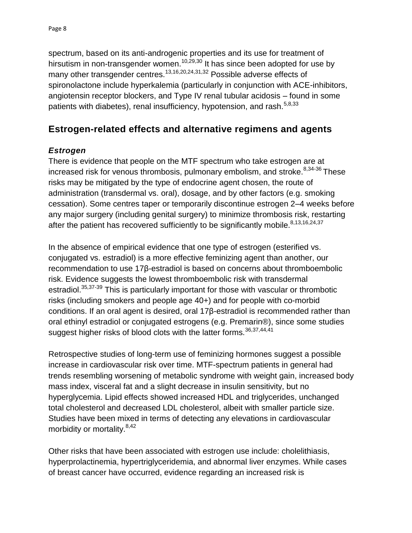spectrum, based on its anti-androgenic properties and its use for treatment of hirsutism in non-transgender women.<sup>10,29,30</sup> It has since been adopted for use by many other transgender centres.<sup>13,16,20,24,31,32</sup> Possible adverse effects of spironolactone include hyperkalemia (particularly in conjunction with ACE-inhibitors, angiotensin receptor blockers, and Type IV renal tubular acidosis – found in some patients with diabetes), renal insufficiency, hypotension, and rash.<sup>5,8,33</sup>

### <span id="page-10-0"></span>**Estrogen-related effects and alternative regimens and agents**

### *Estrogen*

There is evidence that people on the MTF spectrum who take estrogen are at increased risk for venous thrombosis, pulmonary embolism, and stroke. $8,34-36$  These risks may be mitigated by the type of endocrine agent chosen, the route of administration (transdermal vs. oral), dosage, and by other factors (e.g. smoking cessation). Some centres taper or temporarily discontinue estrogen 2–4 weeks before any major surgery (including genital surgery) to minimize thrombosis risk, restarting after the patient has recovered sufficiently to be significantly mobile.  $8,13,16,24,37$ 

In the absence of empirical evidence that one type of estrogen (esterified vs. conjugated vs. estradiol) is a more effective feminizing agent than another, our recommendation to use 17β-estradiol is based on concerns about thromboembolic risk. Evidence suggests the lowest thromboembolic risk with transdermal estradiol.<sup>35,37-39</sup> This is particularly important for those with vascular or thrombotic risks (including smokers and people age 40+) and for people with co-morbid conditions. If an oral agent is desired, oral 17β-estradiol is recommended rather than oral ethinyl estradiol or conjugated estrogens (e.g. Premarin®), since some studies suggest higher risks of blood clots with the latter forms.  $36,37,44,41$ 

Retrospective studies of long-term use of feminizing hormones suggest a possible increase in cardiovascular risk over time. MTF-spectrum patients in general had trends resembling worsening of metabolic syndrome with weight gain, increased body mass index, visceral fat and a slight decrease in insulin sensitivity, but no hyperglycemia. Lipid effects showed increased HDL and triglycerides, unchanged total cholesterol and decreased LDL cholesterol, albeit with smaller particle size. Studies have been mixed in terms of detecting any elevations in cardiovascular morbidity or mortality.8,42

Other risks that have been associated with estrogen use include: cholelithiasis, hyperprolactinemia, hypertriglyceridemia, and abnormal liver enzymes. While cases of breast cancer have occurred, evidence regarding an increased risk is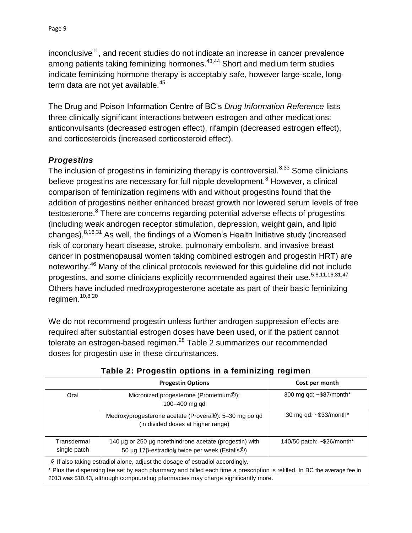inconclusive<sup>11</sup>, and recent studies do not indicate an increase in cancer prevalence among patients taking feminizing hormones.<sup>43,44</sup> Short and medium term studies indicate feminizing hormone therapy is acceptably safe, however large-scale, longterm data are not yet available.<sup>45</sup>

The Drug and Poison Information Centre of BC's *Drug Information Reference* lists three clinically significant interactions between estrogen and other medications: anticonvulsants (decreased estrogen effect), rifampin (decreased estrogen effect), and corticosteroids (increased corticosteroid effect).

### *Progestins*

The inclusion of progestins in feminizing therapy is controversial.<sup>8,33</sup> Some clinicians believe progestins are necessary for full nipple development.<sup>8</sup> However, a clinical comparison of feminization regimens with and without progestins found that the addition of progestins neither enhanced breast growth nor lowered serum levels of free testosterone.<sup>8</sup> There are concerns regarding potential adverse effects of progestins (including weak androgen receptor stimulation, depression, weight gain, and lipid changes),  $8,16,31$  As well, the findings of a Women's Health Initiative study (increased risk of coronary heart disease, stroke, pulmonary embolism, and invasive breast cancer in postmenopausal women taking combined estrogen and progestin HRT) are noteworthy.<sup>46</sup> Many of the clinical protocols reviewed for this quideline did not include progestins, and some clinicians explicitly recommended against their use.<sup>5,8,11,16,31,47</sup> Others have included medroxyprogesterone acetate as part of their basic feminizing regimen.10,8,20

We do not recommend progestin unless further androgen suppression effects are required after substantial estrogen doses have been used, or if the patient cannot tolerate an estrogen-based regimen.<sup>28</sup> Table 2 summarizes our recommended doses for progestin use in these circumstances.

|                                                                                                                                                                                                              | <b>Progestin Options</b>                                                                                  | Cost per month             |  |  |  |  |
|--------------------------------------------------------------------------------------------------------------------------------------------------------------------------------------------------------------|-----------------------------------------------------------------------------------------------------------|----------------------------|--|--|--|--|
| Oral                                                                                                                                                                                                         | Micronized progesterone (Prometrium <sup>®</sup> ):<br>100-400 mg gd                                      | 300 mg qd: ~\$87/month*    |  |  |  |  |
|                                                                                                                                                                                                              | Medroxyprogesterone acetate (Provera®): 5-30 mg po qd<br>(in divided doses at higher range)               | 30 mg qd: ~\$33/month*     |  |  |  |  |
| Transdermal<br>single patch                                                                                                                                                                                  | 140 µg or 250 µg norethindrone acetate (progestin) with<br>50 μg 17β-estradiols twice per week (Estalis®) | 140/50 patch: ~\$26/month* |  |  |  |  |
| § If also taking estradiol alone, adjust the dosage of estradiol accordingly.                                                                                                                                |                                                                                                           |                            |  |  |  |  |
| * Plus the dispensing fee set by each pharmacy and billed each time a prescription is refilled. In BC the average fee in<br>2013 was \$10.43, although compounding pharmacies may charge significantly more. |                                                                                                           |                            |  |  |  |  |

**Table 2: Progestin options in a feminizing regimen**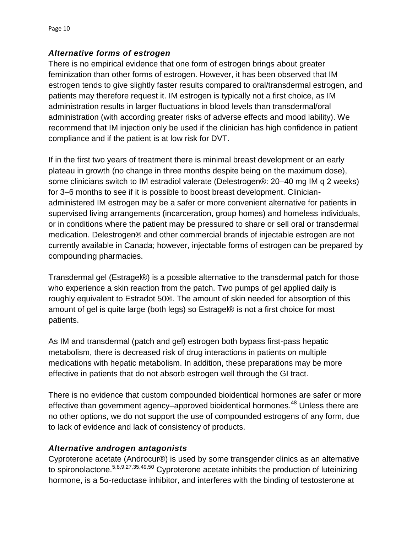### *Alternative forms of estrogen*

There is no empirical evidence that one form of estrogen brings about greater feminization than other forms of estrogen. However, it has been observed that IM estrogen tends to give slightly faster results compared to oral/transdermal estrogen, and patients may therefore request it. IM estrogen is typically not a first choice, as IM administration results in larger fluctuations in blood levels than transdermal/oral administration (with according greater risks of adverse effects and mood lability). We recommend that IM injection only be used if the clinician has high confidence in patient compliance and if the patient is at low risk for DVT.

If in the first two years of treatment there is minimal breast development or an early plateau in growth (no change in three months despite being on the maximum dose), some clinicians switch to IM estradiol valerate (Delestrogen®: 20–40 mg IM q 2 weeks) for 3–6 months to see if it is possible to boost breast development. Clinicianadministered IM estrogen may be a safer or more convenient alternative for patients in supervised living arrangements (incarceration, group homes) and homeless individuals, or in conditions where the patient may be pressured to share or sell oral or transdermal medication. Delestrogen® and other commercial brands of injectable estrogen are not currently available in Canada; however, injectable forms of estrogen can be prepared by compounding pharmacies.

Transdermal gel (Estragel®) is a possible alternative to the transdermal patch for those who experience a skin reaction from the patch. Two pumps of gel applied daily is roughly equivalent to Estradot 50®. The amount of skin needed for absorption of this amount of gel is quite large (both legs) so Estragel® is not a first choice for most patients.

As IM and transdermal (patch and gel) estrogen both bypass first-pass hepatic metabolism, there is decreased risk of drug interactions in patients on multiple medications with hepatic metabolism. In addition, these preparations may be more effective in patients that do not absorb estrogen well through the GI tract.

There is no evidence that custom compounded bioidentical hormones are safer or more effective than government agency–approved bioidentical hormones.<sup>48</sup> Unless there are no other options, we do not support the use of compounded estrogens of any form, due to lack of evidence and lack of consistency of products.

### *Alternative androgen antagonists*

Cyproterone acetate (Androcur®) is used by some transgender clinics as an alternative to spironolactone.5,8,9,27,35,49,50 Cyproterone acetate inhibits the production of luteinizing hormone, is a 5α-reductase inhibitor, and interferes with the binding of testosterone at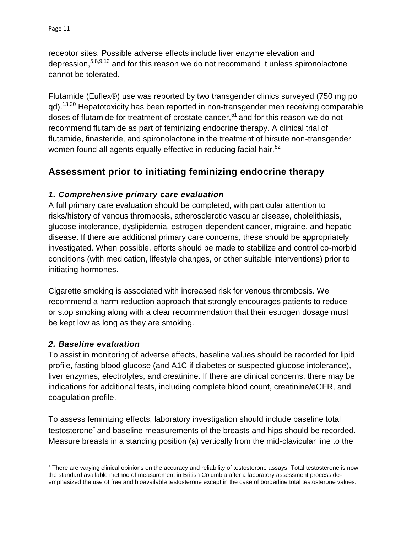receptor sites. Possible adverse effects include liver enzyme elevation and depression,5,8,9,12 and for this reason we do not recommend it unless spironolactone cannot be tolerated.

Flutamide (Euflex®) use was reported by two transgender clinics surveyed (750 mg po qd).<sup>13,20</sup> Hepatotoxicity has been reported in non-transgender men receiving comparable doses of flutamide for treatment of prostate cancer,<sup>51</sup> and for this reason we do not recommend flutamide as part of feminizing endocrine therapy. A clinical trial of flutamide, finasteride, and spironolactone in the treatment of hirsute non-transgender women found all agents equally effective in reducing facial hair.<sup>52</sup>

### <span id="page-13-0"></span>**Assessment prior to initiating feminizing endocrine therapy**

### *1. Comprehensive primary care evaluation*

A full primary care evaluation should be completed, with particular attention to risks/history of venous thrombosis, atherosclerotic vascular disease, cholelithiasis, glucose intolerance, dyslipidemia, estrogen-dependent cancer, migraine, and hepatic disease. If there are additional primary care concerns, these should be appropriately investigated. When possible, efforts should be made to stabilize and control co-morbid conditions (with medication, lifestyle changes, or other suitable interventions) prior to initiating hormones.

Cigarette smoking is associated with increased risk for venous thrombosis. We recommend a harm-reduction approach that strongly encourages patients to reduce or stop smoking along with a clear recommendation that their estrogen dosage must be kept low as long as they are smoking.

### *2. Baseline evaluation*

 $\overline{a}$ 

To assist in monitoring of adverse effects, baseline values should be recorded for lipid profile, fasting blood glucose (and A1C if diabetes or suspected glucose intolerance), liver enzymes, electrolytes, and creatinine. If there are clinical concerns. there may be indications for additional tests, including complete blood count, creatinine/eGFR, and coagulation profile.

To assess feminizing effects, laboratory investigation should include baseline total testosterone<sup>\*</sup> and baseline measurements of the breasts and hips should be recorded. Measure breasts in a standing position (a) vertically from the mid-clavicular line to the

There are varying clinical opinions on the accuracy and reliability of testosterone assays. Total testosterone is now the standard available method of measurement in British Columbia after a laboratory assessment process deemphasized the use of free and bioavailable testosterone except in the case of borderline total testosterone values.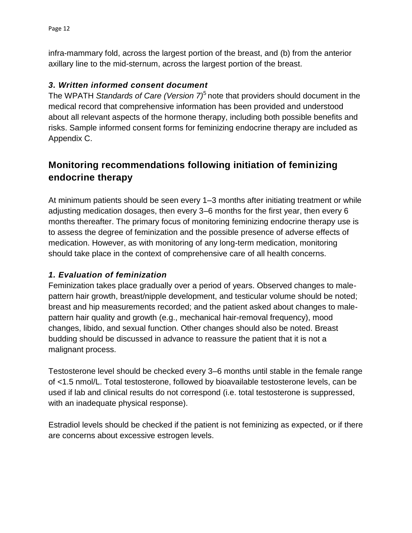infra-mammary fold, across the largest portion of the breast, and (b) from the anterior axillary line to the mid-sternum, across the largest portion of the breast.

### *3. Written informed consent document*

The WPATH *Standards of Care (Version 7)*<sup>5</sup> note that providers should document in the medical record that comprehensive information has been provided and understood about all relevant aspects of the hormone therapy, including both possible benefits and risks. Sample informed consent forms for feminizing endocrine therapy are included as Appendix C.

### <span id="page-14-0"></span>**Monitoring recommendations following initiation of feminizing endocrine therapy**

At minimum patients should be seen every 1–3 months after initiating treatment or while adjusting medication dosages, then every 3–6 months for the first year, then every 6 months thereafter. The primary focus of monitoring feminizing endocrine therapy use is to assess the degree of feminization and the possible presence of adverse effects of medication. However, as with monitoring of any long-term medication, monitoring should take place in the context of comprehensive care of all health concerns.

### *1. Evaluation of feminization*

Feminization takes place gradually over a period of years. Observed changes to malepattern hair growth, breast/nipple development, and testicular volume should be noted; breast and hip measurements recorded; and the patient asked about changes to malepattern hair quality and growth (e.g., mechanical hair-removal frequency), mood changes, libido, and sexual function. Other changes should also be noted. Breast budding should be discussed in advance to reassure the patient that it is not a malignant process.

Testosterone level should be checked every 3–6 months until stable in the female range of <1.5 nmol/L. Total testosterone, followed by bioavailable testosterone levels, can be used if lab and clinical results do not correspond (i.e. total testosterone is suppressed, with an inadequate physical response).

Estradiol levels should be checked if the patient is not feminizing as expected, or if there are concerns about excessive estrogen levels.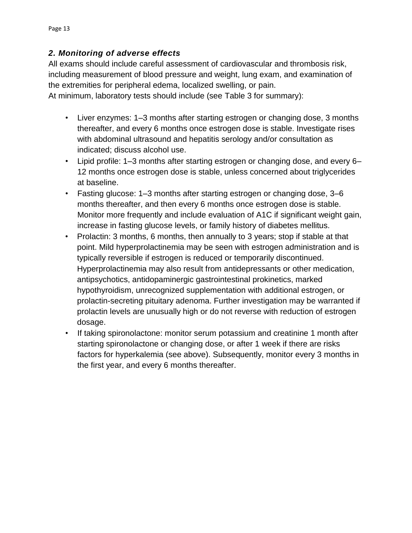### *2. Monitoring of adverse effects*

All exams should include careful assessment of cardiovascular and thrombosis risk, including measurement of blood pressure and weight, lung exam, and examination of the extremities for peripheral edema, localized swelling, or pain.

At minimum, laboratory tests should include (see Table 3 for summary):

- Liver enzymes: 1–3 months after starting estrogen or changing dose, 3 months thereafter, and every 6 months once estrogen dose is stable. Investigate rises with abdominal ultrasound and hepatitis serology and/or consultation as indicated; discuss alcohol use.
- Lipid profile: 1–3 months after starting estrogen or changing dose, and every 6– 12 months once estrogen dose is stable, unless concerned about triglycerides at baseline.
- Fasting glucose: 1–3 months after starting estrogen or changing dose, 3–6 months thereafter, and then every 6 months once estrogen dose is stable. Monitor more frequently and include evaluation of A1C if significant weight gain, increase in fasting glucose levels, or family history of diabetes mellitus.
- Prolactin: 3 months, 6 months, then annually to 3 years; stop if stable at that point. Mild hyperprolactinemia may be seen with estrogen administration and is typically reversible if estrogen is reduced or temporarily discontinued. Hyperprolactinemia may also result from antidepressants or other medication, antipsychotics, antidopaminergic gastrointestinal prokinetics, marked hypothyroidism, unrecognized supplementation with additional estrogen, or prolactin-secreting pituitary adenoma. Further investigation may be warranted if prolactin levels are unusually high or do not reverse with reduction of estrogen dosage.
- If taking spironolactone: monitor serum potassium and creatinine 1 month after starting spironolactone or changing dose, or after 1 week if there are risks factors for hyperkalemia (see above). Subsequently, monitor every 3 months in the first year, and every 6 months thereafter.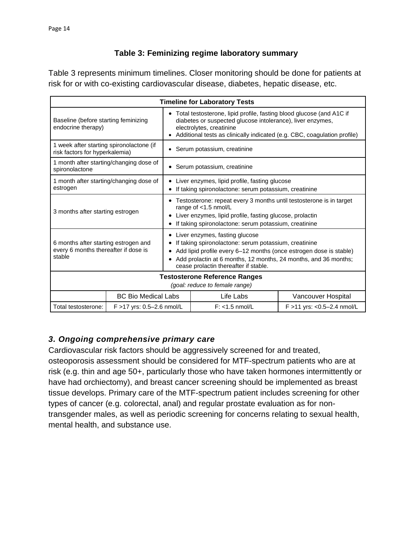### **Table 3: Feminizing regime laboratory summary**

Table 3 represents minimum timelines. Closer monitoring should be done for patients at risk for or with co-existing cardiovascular disease, diabetes, hepatic disease, etc.

| <b>Timeline for Laboratory Tests</b>                                                                          |                            |                                                                                                                                                                                                                                                           |                                                                                                                                                                                                                                                                           |                            |  |
|---------------------------------------------------------------------------------------------------------------|----------------------------|-----------------------------------------------------------------------------------------------------------------------------------------------------------------------------------------------------------------------------------------------------------|---------------------------------------------------------------------------------------------------------------------------------------------------------------------------------------------------------------------------------------------------------------------------|----------------------------|--|
| Baseline (before starting feminizing<br>endocrine therapy)                                                    |                            | • Total testosterone, lipid profile, fasting blood glucose (and A1C if<br>diabetes or suspected glucose intolerance), liver enzymes,<br>electrolytes, creatinine<br>Additional tests as clinically indicated (e.g. CBC, coagulation profile)<br>$\bullet$ |                                                                                                                                                                                                                                                                           |                            |  |
| 1 week after starting spironolactone (if<br>$\bullet$<br>risk factors for hyperkalemia)                       |                            | Serum potassium, creatinine                                                                                                                                                                                                                               |                                                                                                                                                                                                                                                                           |                            |  |
| 1 month after starting/changing dose of<br>spironolactone                                                     |                            | Serum potassium, creatinine<br>$\bullet$                                                                                                                                                                                                                  |                                                                                                                                                                                                                                                                           |                            |  |
| 1 month after starting/changing dose of<br>estrogen                                                           |                            | Liver enzymes, lipid profile, fasting glucose<br>٠<br>If taking spironolactone: serum potassium, creatinine                                                                                                                                               |                                                                                                                                                                                                                                                                           |                            |  |
| 3 months after starting estrogen<br>٠                                                                         |                            | • Testosterone: repeat every 3 months until testosterone is in target<br>range of <1.5 nmol/L<br>Liver enzymes, lipid profile, fasting glucose, prolactin<br>If taking spironolactone: serum potassium, creatinine                                        |                                                                                                                                                                                                                                                                           |                            |  |
| ٠<br>6 months after starting estrogen and<br>every 6 months thereafter if dose is<br>٠<br>stable<br>$\bullet$ |                            |                                                                                                                                                                                                                                                           | Liver enzymes, fasting glucose<br>If taking spironolactone: serum potassium, creatinine<br>Add lipid profile every 6-12 months (once estrogen dose is stable)<br>Add prolactin at 6 months, 12 months, 24 months, and 36 months;<br>cease prolactin thereafter if stable. |                            |  |
| <b>Testosterone Reference Ranges</b><br>(goal: reduce to female range)                                        |                            |                                                                                                                                                                                                                                                           |                                                                                                                                                                                                                                                                           |                            |  |
|                                                                                                               | <b>BC Bio Medical Labs</b> |                                                                                                                                                                                                                                                           | Life Labs                                                                                                                                                                                                                                                                 | Vancouver Hospital         |  |
| Total testosterone:                                                                                           | F >17 yrs: 0.5-2.6 nmol/L  |                                                                                                                                                                                                                                                           | $F: < 1.5$ nmol/L                                                                                                                                                                                                                                                         | F >11 yrs: <0.5-2.4 nmol/L |  |

### *3. Ongoing comprehensive primary care*

Cardiovascular risk factors should be aggressively screened for and treated, osteoporosis assessment should be considered for MTF-spectrum patients who are at risk (e.g. thin and age 50+, particularly those who have taken hormones intermittently or have had orchiectomy), and breast cancer screening should be implemented as breast tissue develops. Primary care of the MTF-spectrum patient includes screening for other types of cancer (e.g. colorectal, anal) and regular prostate evaluation as for nontransgender males, as well as periodic screening for concerns relating to sexual health, mental health, and substance use.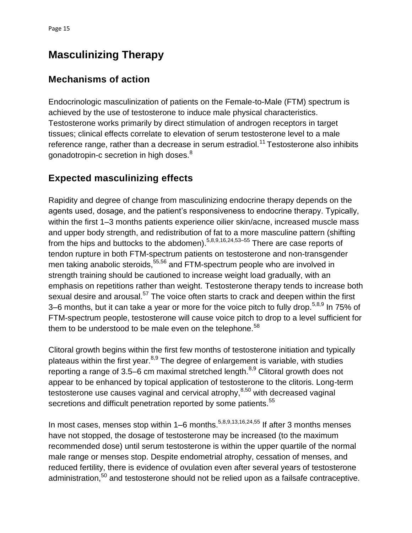# <span id="page-17-0"></span>**Masculinizing Therapy**

### <span id="page-17-1"></span>**Mechanisms of action**

Endocrinologic masculinization of patients on the Female-to-Male (FTM) spectrum is achieved by the use of testosterone to induce male physical characteristics. Testosterone works primarily by direct stimulation of androgen receptors in target tissues; clinical effects correlate to elevation of serum testosterone level to a male reference range, rather than a decrease in serum estradiol.<sup>11</sup> Testosterone also inhibits gonadotropin-c secretion in high doses.<sup>8</sup>

## <span id="page-17-2"></span>**Expected masculinizing effects**

Rapidity and degree of change from masculinizing endocrine therapy depends on the agents used, dosage, and the patient's responsiveness to endocrine therapy. Typically, within the first 1–3 months patients experience oilier skin/acne, increased muscle mass and upper body strength, and redistribution of fat to a more masculine pattern (shifting from the hips and buttocks to the abdomen).  $5,8,9,16,24,53-55$  There are case reports of tendon rupture in both FTM-spectrum patients on testosterone and non-transgender men taking anabolic steroids,<sup>55,56</sup> and FTM-spectrum people who are involved in strength training should be cautioned to increase weight load gradually, with an emphasis on repetitions rather than weight. Testosterone therapy tends to increase both sexual desire and arousal.<sup>57</sup> The voice often starts to crack and deepen within the first 3–6 months, but it can take a year or more for the voice pitch to fully drop.<sup>5,8,9</sup> In 75% of FTM-spectrum people, testosterone will cause voice pitch to drop to a level sufficient for them to be understood to be male even on the telephone. $58$ 

Clitoral growth begins within the first few months of testosterone initiation and typically plateaus within the first year. $8,9$  The degree of enlargement is variable, with studies reporting a range of 3.5–6 cm maximal stretched length. $8,9$  Clitoral growth does not appear to be enhanced by topical application of testosterone to the clitoris. Long-term testosterone use causes vaginal and cervical atrophy, $8,50$  with decreased vaginal secretions and difficult penetration reported by some patients.<sup>55</sup>

In most cases, menses stop within  $1-6$  months.<sup>5,8,9,13,16,24,55</sup> If after 3 months menses have not stopped, the dosage of testosterone may be increased (to the maximum recommended dose) until serum testosterone is within the upper quartile of the normal male range or menses stop. Despite endometrial atrophy, cessation of menses, and reduced fertility, there is evidence of ovulation even after several years of testosterone administration,<sup>50</sup> and testosterone should not be relied upon as a failsafe contraceptive.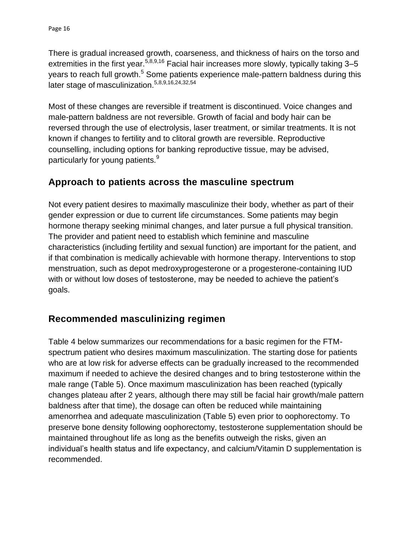There is gradual increased growth, coarseness, and thickness of hairs on the torso and extremities in the first year.  $5,8,9,16$  Facial hair increases more slowly, typically taking 3–5 years to reach full growth.<sup>5</sup> Some patients experience male-pattern baldness during this later stage of masculinization.<sup>5,8,9,16,24,32,54</sup>

Most of these changes are reversible if treatment is discontinued. Voice changes and male-pattern baldness are not reversible. Growth of facial and body hair can be reversed through the use of electrolysis, laser treatment, or similar treatments. It is not known if changes to fertility and to clitoral growth are reversible. Reproductive counselling, including options for banking reproductive tissue, may be advised, particularly for young patients.<sup>9</sup>

### <span id="page-18-0"></span>**Approach to patients across the masculine spectrum**

Not every patient desires to maximally masculinize their body, whether as part of their gender expression or due to current life circumstances. Some patients may begin hormone therapy seeking minimal changes, and later pursue a full physical transition. The provider and patient need to establish which feminine and masculine characteristics (including fertility and sexual function) are important for the patient, and if that combination is medically achievable with hormone therapy. Interventions to stop menstruation, such as depot medroxyprogesterone or a progesterone-containing IUD with or without low doses of testosterone, may be needed to achieve the patient's goals.

### <span id="page-18-1"></span>**Recommended masculinizing regimen**

Table 4 below summarizes our recommendations for a basic regimen for the FTMspectrum patient who desires maximum masculinization. The starting dose for patients who are at low risk for adverse effects can be gradually increased to the recommended maximum if needed to achieve the desired changes and to bring testosterone within the male range (Table 5). Once maximum masculinization has been reached (typically changes plateau after 2 years, although there may still be facial hair growth/male pattern baldness after that time), the dosage can often be reduced while maintaining amenorrhea and adequate masculinization (Table 5) even prior to oophorectomy. To preserve bone density following oophorectomy, testosterone supplementation should be maintained throughout life as long as the benefits outweigh the risks, given an individual's health status and life expectancy, and calcium/Vitamin D supplementation is recommended.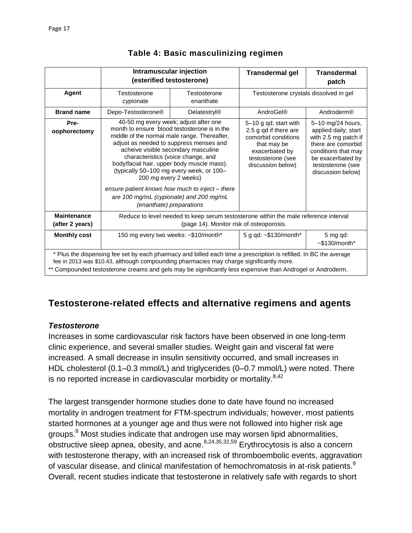|                                                                                                                                                                                                                                                                                                                            | Intramuscular injection                                                                                                                                                                                                                                                              | (esterified testosterone)                                                                                                                                                                                                 | <b>Transdermal gel</b>                                                                                                                           | <b>Transdermal</b><br>patch                                                                                                                                                   |  |
|----------------------------------------------------------------------------------------------------------------------------------------------------------------------------------------------------------------------------------------------------------------------------------------------------------------------------|--------------------------------------------------------------------------------------------------------------------------------------------------------------------------------------------------------------------------------------------------------------------------------------|---------------------------------------------------------------------------------------------------------------------------------------------------------------------------------------------------------------------------|--------------------------------------------------------------------------------------------------------------------------------------------------|-------------------------------------------------------------------------------------------------------------------------------------------------------------------------------|--|
| Agent                                                                                                                                                                                                                                                                                                                      | Testosterone<br>Testosterone<br>enanthate<br>cypionate                                                                                                                                                                                                                               |                                                                                                                                                                                                                           | Testosterone crystals dissolved in gel                                                                                                           |                                                                                                                                                                               |  |
| <b>Brand name</b>                                                                                                                                                                                                                                                                                                          | Depo-Testosterone <sup>®</sup>                                                                                                                                                                                                                                                       | Delatestryl <sup>®</sup>                                                                                                                                                                                                  | AndroGel®                                                                                                                                        | Androderm®                                                                                                                                                                    |  |
| Pre-<br>oophorectomy                                                                                                                                                                                                                                                                                                       | 40-50 mg every week; adjust after one<br>middle of the normal male range. Thereafter,<br>adjust as needed to suppress menses and<br>acheive visible secondary masculine<br>characteristics (voice change, and<br>body/facial hair, upper body muscle mass).<br>200 mg every 2 weeks) | month to ensure blood testosterone is in the<br>(typically 50–100 mg every week, or 100–<br>ensure patient knows how much to inject - there<br>are 100 mg/mL (cypionate) and 200 mg/mL<br><i>(enanthate)</i> preparations | 5-10 g qd; start with<br>2.5 g qd if there are<br>comorbid conditions<br>that may be<br>exacerbated by<br>testosterone (see<br>discussion below) | 5-10 mg/24 hours,<br>applied daily; start<br>with 2.5 mg patch if<br>there are comorbid<br>conditions that may<br>be exacerbated by<br>testosterone (see<br>discussion below) |  |
| <b>Maintenance</b><br>(after 2 years)                                                                                                                                                                                                                                                                                      | Reduce to level needed to keep serum testosterone within the male reference interval<br>(page 14). Monitor risk of osteoporosis.                                                                                                                                                     |                                                                                                                                                                                                                           |                                                                                                                                                  |                                                                                                                                                                               |  |
| <b>Monthly cost</b>                                                                                                                                                                                                                                                                                                        |                                                                                                                                                                                                                                                                                      | 150 mg every two weeks: ~\$10/month*                                                                                                                                                                                      | 5 g qd: $\sim$ \$130/month*                                                                                                                      | 5 mg qd:<br>$~5130/m$ onth*                                                                                                                                                   |  |
| * Plus the dispensing fee set by each pharmacy and billed each time a prescription is refilled. In BC the average<br>fee in 2013 was \$10.43, although compounding pharmacies may charge significantly more.<br>** Compounded testosterone creams and gels may be significantly less expensive than Androgel or Androderm. |                                                                                                                                                                                                                                                                                      |                                                                                                                                                                                                                           |                                                                                                                                                  |                                                                                                                                                                               |  |

### **Table 4: Basic masculinizing regimen**

### <span id="page-19-0"></span>**Testosterone-related effects and alternative regimens and agents**

### *Testosterone*

Increases in some cardiovascular risk factors have been observed in one long-term clinic experience, and several smaller studies. Weight gain and visceral fat were increased. A small decrease in insulin sensitivity occurred, and small increases in HDL cholesterol (0.1–0.3 mmol/L) and triglycerides (0–0.7 mmol/L) were noted. There is no reported increase in cardiovascular morbidity or mortality.<sup>8,42</sup>

The largest transgender hormone studies done to date have found no increased mortality in androgen treatment for FTM-spectrum individuals; however, most patients started hormones at a younger age and thus were not followed into higher risk age groups.<sup>8</sup> Most studies indicate that androgen use may worsen lipid abnormalities, obstructive sleep apnea, obesity, and acne.  $8,24,35,32,59$  Erythrocytosis is also a concern with testosterone therapy, with an increased risk of thromboembolic events, aggravation of vascular disease, and clinical manifestation of hemochromatosis in at-risk patients.<sup>9</sup> Overall, recent studies indicate that testosterone in relatively safe with regards to short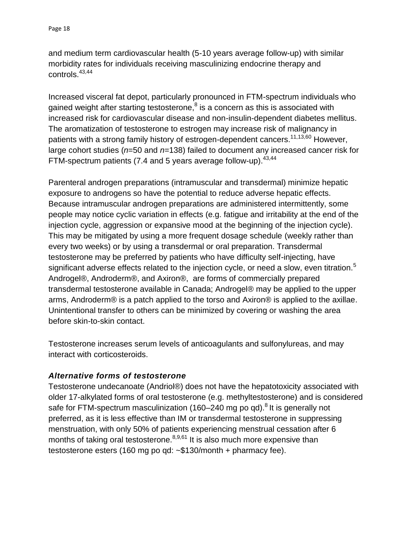and medium term cardiovascular health (5-10 years average follow-up) with similar morbidity rates for individuals receiving masculinizing endocrine therapy and controls.43,44

Increased visceral fat depot, particularly pronounced in FTM-spectrum individuals who gained weight after starting testosterone, $^8$  is a concern as this is associated with increased risk for cardiovascular disease and non-insulin-dependent diabetes mellitus. The aromatization of testosterone to estrogen may increase risk of malignancy in patients with a strong family history of estrogen-dependent cancers.<sup>11,13,60</sup> However, large cohort studies (*n*=50 and *n*=138) failed to document any increased cancer risk for FTM-spectrum patients (7.4 and 5 years average follow-up).  $43,44$ 

Parenteral androgen preparations (intramuscular and transdermal) minimize hepatic exposure to androgens so have the potential to reduce adverse hepatic effects. Because intramuscular androgen preparations are administered intermittently, some people may notice cyclic variation in effects (e.g. fatigue and irritability at the end of the injection cycle, aggression or expansive mood at the beginning of the injection cycle). This may be mitigated by using a more frequent dosage schedule (weekly rather than every two weeks) or by using a transdermal or oral preparation. Transdermal testosterone may be preferred by patients who have difficulty self-injecting, have significant adverse effects related to the injection cycle, or need a slow, even titration.<sup>5</sup> Androgel®, Androderm®, and Axiron®, are forms of commercially prepared transdermal testosterone available in Canada; Androgel® may be applied to the upper arms, Androderm® is a patch applied to the torso and Axiron® is applied to the axillae. Unintentional transfer to others can be minimized by covering or washing the area before skin-to-skin contact.

Testosterone increases serum levels of anticoagulants and sulfonylureas, and may interact with corticosteroids.

### *Alternative forms of testosterone*

Testosterone undecanoate (Andriol®) does not have the hepatotoxicity associated with older 17-alkylated forms of oral testosterone (e.g. methyltestosterone) and is considered safe for FTM-spectrum masculinization (160–240 mg po qd).<sup>8</sup> It is generally not preferred, as it is less effective than IM or transdermal testosterone in suppressing menstruation, with only 50% of patients experiencing menstrual cessation after 6 months of taking oral testosterone. $8,9,61$  It is also much more expensive than testosterone esters (160 mg po qd: ~\$130/month + pharmacy fee).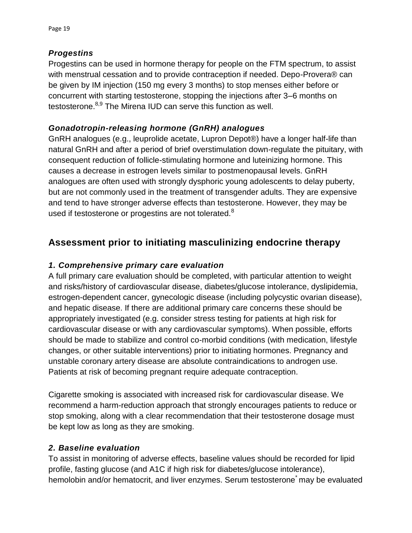#### *Progestins*

Progestins can be used in hormone therapy for people on the FTM spectrum, to assist with menstrual cessation and to provide contraception if needed. Depo-Provera<sup>®</sup> can be given by IM injection (150 mg every 3 months) to stop menses either before or concurrent with starting testosterone, stopping the injections after 3–6 months on testosterone.<sup>8,9</sup> The Mirena IUD can serve this function as well.

#### *Gonadotropin-releasing hormone (GnRH) analogues*

GnRH analogues (e.g., leuprolide acetate, Lupron Depot®) have a longer half-life than natural GnRH and after a period of brief overstimulation down-regulate the pituitary, with consequent reduction of follicle-stimulating hormone and luteinizing hormone. This causes a decrease in estrogen levels similar to postmenopausal levels. GnRH analogues are often used with strongly dysphoric young adolescents to delay puberty, but are not commonly used in the treatment of transgender adults. They are expensive and tend to have stronger adverse effects than testosterone. However, they may be used if testosterone or progestins are not tolerated.<sup>8</sup>

### <span id="page-21-0"></span>**Assessment prior to initiating masculinizing endocrine therapy**

#### *1. Comprehensive primary care evaluation*

A full primary care evaluation should be completed, with particular attention to weight and risks/history of cardiovascular disease, diabetes/glucose intolerance, dyslipidemia, estrogen-dependent cancer, gynecologic disease (including polycystic ovarian disease), and hepatic disease. If there are additional primary care concerns these should be appropriately investigated (e.g. consider stress testing for patients at high risk for cardiovascular disease or with any cardiovascular symptoms). When possible, efforts should be made to stabilize and control co-morbid conditions (with medication, lifestyle changes, or other suitable interventions) prior to initiating hormones. Pregnancy and unstable coronary artery disease are absolute contraindications to androgen use. Patients at risk of becoming pregnant require adequate contraception.

Cigarette smoking is associated with increased risk for cardiovascular disease. We recommend a harm-reduction approach that strongly encourages patients to reduce or stop smoking, along with a clear recommendation that their testosterone dosage must be kept low as long as they are smoking.

#### *2. Baseline evaluation*

To assist in monitoring of adverse effects, baseline values should be recorded for lipid profile, fasting glucose (and A1C if high risk for diabetes/glucose intolerance), hemolobin and/or hematocrit, and liver enzymes. Serum testosterone may be evaluated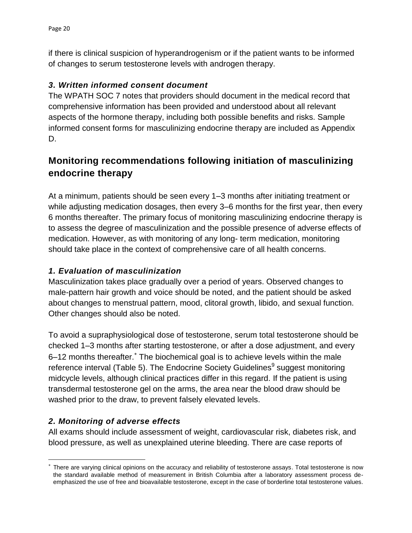if there is clinical suspicion of hyperandrogenism or if the patient wants to be informed of changes to serum testosterone levels with androgen therapy.

### *3. Written informed consent document*

The WPATH SOC 7 notes that providers should document in the medical record that comprehensive information has been provided and understood about all relevant aspects of the hormone therapy, including both possible benefits and risks. Sample informed consent forms for masculinizing endocrine therapy are included as Appendix D.

## <span id="page-22-0"></span>**Monitoring recommendations following initiation of masculinizing endocrine therapy**

At a minimum, patients should be seen every 1–3 months after initiating treatment or while adjusting medication dosages, then every 3–6 months for the first year, then every 6 months thereafter. The primary focus of monitoring masculinizing endocrine therapy is to assess the degree of masculinization and the possible presence of adverse effects of medication. However, as with monitoring of any long- term medication, monitoring should take place in the context of comprehensive care of all health concerns.

### *1. Evaluation of masculinization*

Masculinization takes place gradually over a period of years. Observed changes to male-pattern hair growth and voice should be noted, and the patient should be asked about changes to menstrual pattern, mood, clitoral growth, libido, and sexual function. Other changes should also be noted.

To avoid a supraphysiological dose of testosterone, serum total testosterone should be checked 1–3 months after starting testosterone, or after a dose adjustment, and every 6-12 months thereafter.<sup>\*</sup> The biochemical goal is to achieve levels within the male reference interval (Table 5). The Endocrine Society Guidelines<sup>9</sup> suggest monitoring midcycle levels, although clinical practices differ in this regard. If the patient is using transdermal testosterone gel on the arms, the area near the blood draw should be washed prior to the draw, to prevent falsely elevated levels.

### *2. Monitoring of adverse effects*

 $\overline{a}$ 

All exams should include assessment of weight, cardiovascular risk, diabetes risk, and blood pressure, as well as unexplained uterine bleeding. There are case reports of

<sup>×</sup> There are varying clinical opinions on the accuracy and reliability of testosterone assays. Total testosterone is now the standard available method of measurement in British Columbia after a laboratory assessment process deemphasized the use of free and bioavailable testosterone, except in the case of borderline total testosterone values.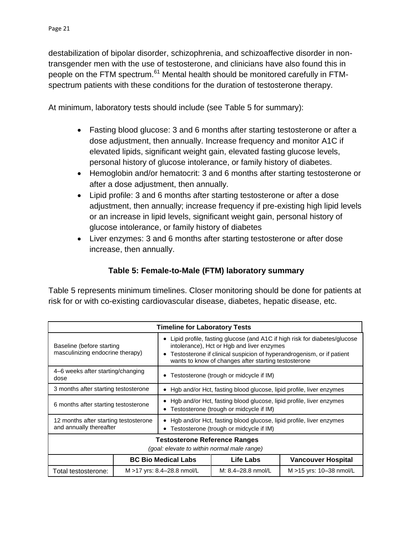destabilization of bipolar disorder, schizophrenia, and schizoaffective disorder in nontransgender men with the use of testosterone, and clinicians have also found this in people on the FTM spectrum.<sup>61</sup> Mental health should be monitored carefully in FTMspectrum patients with these conditions for the duration of testosterone therapy.

At minimum, laboratory tests should include (see Table 5 for summary):

- Fasting blood glucose: 3 and 6 months after starting testosterone or after a dose adjustment, then annually. Increase frequency and monitor A1C if elevated lipids, significant weight gain, elevated fasting glucose levels, personal history of glucose intolerance, or family history of diabetes.
- Hemoglobin and/or hematocrit: 3 and 6 months after starting testosterone or after a dose adjustment, then annually.
- Lipid profile: 3 and 6 months after starting testosterone or after a dose adjustment, then annually; increase frequency if pre-existing high lipid levels or an increase in lipid levels, significant weight gain, personal history of glucose intolerance, or family history of diabetes
- Liver enzymes: 3 and 6 months after starting testosterone or after dose increase, then annually.

### **Table 5: Female-to-Male (FTM) laboratory summary**

Table 5 represents minimum timelines. Closer monitoring should be done for patients at risk for or with co-existing cardiovascular disease, diabetes, hepatic disease, etc.

| <b>Timeline for Laboratory Tests</b>                                                |  |                                                                                                                                                                                                                                                          |                    |                           |  |  |
|-------------------------------------------------------------------------------------|--|----------------------------------------------------------------------------------------------------------------------------------------------------------------------------------------------------------------------------------------------------------|--------------------|---------------------------|--|--|
| Baseline (before starting<br>masculinizing endocrine therapy)                       |  | Lipid profile, fasting glucose (and A1C if high risk for diabetes/glucose<br>intolerance), Hct or Hgb and liver enzymes<br>Testosterone if clinical suspicion of hyperandrogenism, or if patient<br>wants to know of changes after starting testosterone |                    |                           |  |  |
| 4–6 weeks after starting/changing<br>dose                                           |  | Testosterone (trough or midcycle if IM)                                                                                                                                                                                                                  |                    |                           |  |  |
| 3 months after starting testosterone                                                |  | Hgb and/or Hct, fasting blood glucose, lipid profile, liver enzymes                                                                                                                                                                                      |                    |                           |  |  |
| 6 months after starting testosterone                                                |  | Hgb and/or Hct, fasting blood glucose, lipid profile, liver enzymes<br>Testosterone (trough or midcycle if IM)                                                                                                                                           |                    |                           |  |  |
| 12 months after starting testosterone<br>and annually thereafter                    |  | Hgb and/or Hct, fasting blood glucose, lipid profile, liver enzymes<br>Testosterone (trough or midcycle if IM)                                                                                                                                           |                    |                           |  |  |
| <b>Testosterone Reference Ranges</b><br>(goal: elevate to within normal male range) |  |                                                                                                                                                                                                                                                          |                    |                           |  |  |
|                                                                                     |  | <b>BC Bio Medical Labs</b>                                                                                                                                                                                                                               | Life Labs          | <b>Vancouver Hospital</b> |  |  |
| Total testosterone:                                                                 |  | M >17 yrs: 8.4–28.8 nmol/L                                                                                                                                                                                                                               | M: 8.4-28.8 nmol/L | M > 15 yrs: 10-38 nmol/L  |  |  |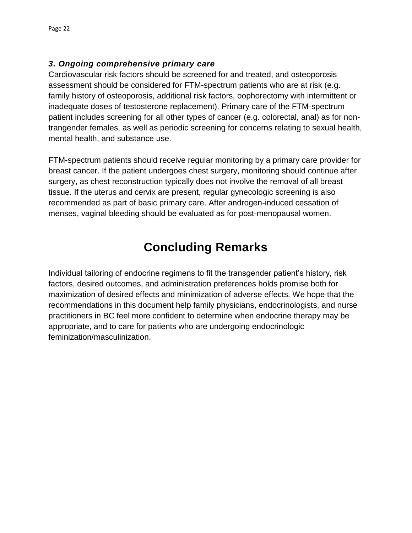### *3. Ongoing comprehensive primary care*

Cardiovascular risk factors should be screened for and treated, and osteoporosis assessment should be considered for FTM-spectrum patients who are at risk (e.g. family history of osteoporosis, additional risk factors, oophorectomy with intermittent or inadequate doses of testosterone replacement). Primary care of the FTM-spectrum patient includes screening for all other types of cancer (e.g. colorectal, anal) as for nontrangender females, as well as periodic screening for concerns relating to sexual health, mental health, and substance use.

FTM-spectrum patients should receive regular monitoring by a primary care provider for breast cancer. If the patient undergoes chest surgery, monitoring should continue after surgery, as chest reconstruction typically does not involve the removal of all breast tissue. If the uterus and cervix are present, regular gynecologic screening is also recommended as part of basic primary care. After androgen-induced cessation of menses, vaginal bleeding should be evaluated as for post-menopausal women.

# **Concluding Remarks**

Individual tailoring of endocrine regimens to fit the transgender patient's history, risk factors, desired outcomes, and administration preferences holds promise both for maximization of desired effects and minimization of adverse effects. We hope that the recommendations in this document help family physicians, endocrinologists, and nurse practitioners in BC feel more confident to determine when endocrine therapy may be appropriate, and to care for patients who are undergoing endocrinologic feminization/masculinization.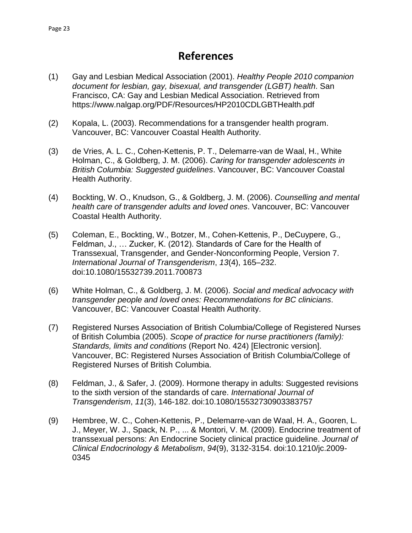## **References**

- <span id="page-25-0"></span>(1) Gay and Lesbian Medical Association (2001). *Healthy People 2010 companion document for lesbian, gay, bisexual, and transgender (LGBT) health*. San Francisco, CA: Gay and Lesbian Medical Association. Retrieved from https://www.nalgap.org/PDF/Resources/HP2010CDLGBTHealth.pdf
- (2) Kopala, L. (2003). Recommendations for a transgender health program. Vancouver, BC: Vancouver Coastal Health Authority.
- (3) de Vries, A. L. C., Cohen-Kettenis, P. T., Delemarre-van de Waal, H., White Holman, C., & Goldberg, J. M. (2006). *Caring for transgender adolescents in British Columbia: Suggested guidelines*. Vancouver, BC: Vancouver Coastal Health Authority.
- (4) Bockting, W. O., Knudson, G., & Goldberg, J. M. (2006). *Counselling and mental health care of transgender adults and loved ones*. Vancouver, BC: Vancouver Coastal Health Authority.
- (5) Coleman, E., Bockting, W., Botzer, M., Cohen-Kettenis, P., DeCuypere, G., Feldman, J., … Zucker, K. (2012). Standards of Care for the Health of Transsexual, Transgender, and Gender-Nonconforming People, Version 7. *International Journal of Transgenderism*, *13*(4), 165–232. doi:10.1080/15532739.2011.700873
- (6) White Holman, C., & Goldberg, J. M. (2006). *Social and medical advocacy with transgender people and loved ones: Recommendations for BC clinicians*. Vancouver, BC: Vancouver Coastal Health Authority.
- (7) Registered Nurses Association of British Columbia/College of Registered Nurses of British Columbia (2005). *Scope of practice for nurse practitioners (family): Standards, limits and conditions* (Report No. 424) [Electronic version]. Vancouver, BC: Registered Nurses Association of British Columbia/College of Registered Nurses of British Columbia.
- (8) Feldman, J., & Safer, J. (2009). Hormone therapy in adults: Suggested revisions to the sixth version of the standards of care. *International Journal of Transgenderism*, *11*(3), 146-182. doi:10.1080/15532730903383757
- (9) Hembree, W. C., Cohen-Kettenis, P., Delemarre-van de Waal, H. A., Gooren, L. J., Meyer, W. J., Spack, N. P., ... & Montori, V. M. (2009). Endocrine treatment of transsexual persons: An Endocrine Society clinical practice guideline. *Journal of Clinical Endocrinology & Metabolism*, *94*(9), 3132-3154. doi:10.1210/jc.2009- 0345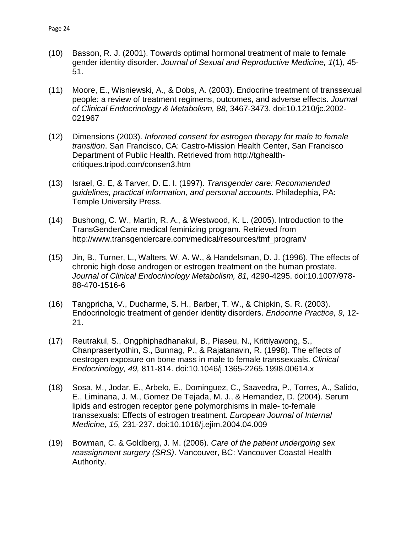- (10) Basson, R. J. (2001). Towards optimal hormonal treatment of male to female gender identity disorder. *Journal of Sexual and Reproductive Medicine, 1*(1), 45- 51.
- (11) Moore, E., Wisniewski, A., & Dobs, A. (2003). Endocrine treatment of transsexual people: a review of treatment regimens, outcomes, and adverse effects. *Journal of Clinical Endocrinology & Metabolism, 88*, 3467-3473. doi:10.1210/jc.2002- 021967
- (12) Dimensions (2003). *Informed consent for estrogen therapy for male to female transition*. San Francisco, CA: Castro-Mission Health Center, San Francisco Department of Public Health. Retrieved from http://tghealthcritiques.tripod.com/consen3.htm
- (13) Israel, G. E, & Tarver, D. E. I. (1997). *Transgender care: Recommended guidelines, practical information, and personal accounts*. Philadephia, PA: Temple University Press.
- (14) Bushong, C. W., Martin, R. A., & Westwood, K. L. (2005). Introduction to the TransGenderCare medical feminizing program. Retrieved from http://www.transgendercare.com/medical/resources/tmf\_program/
- (15) Jin, B., Turner, L., Walters, W. A. W., & Handelsman, D. J. (1996). The effects of chronic high dose androgen or estrogen treatment on the human prostate. *Journal of Clinical Endocrinology Metabolism, 81,* 4290-4295. doi:10.1007/978- 88-470-1516-6
- (16) Tangpricha, V., Ducharme, S. H., Barber, T. W., & Chipkin, S. R. (2003). Endocrinologic treatment of gender identity disorders. *Endocrine Practice, 9,* 12- 21.
- (17) Reutrakul, S., Ongphiphadhanakul, B., Piaseu, N., Krittiyawong, S., Chanprasertyothin, S., Bunnag, P., & Rajatanavin, R. (1998). The effects of oestrogen exposure on bone mass in male to female transsexuals. *Clinical Endocrinology, 49,* 811-814. doi:10.1046/j.1365-2265.1998.00614.x
- (18) Sosa, M., Jodar, E., Arbelo, E., Dominguez, C., Saavedra, P., Torres, A., Salido, E., Liminana, J. M., Gomez De Tejada, M. J., & Hernandez, D. (2004). Serum lipids and estrogen receptor gene polymorphisms in male- to-female transsexuals: Effects of estrogen treatment. *European Journal of Internal Medicine, 15,* 231-237. doi:10.1016/j.ejim.2004.04.009
- (19) Bowman, C. & Goldberg, J. M. (2006). *Care of the patient undergoing sex reassignment surgery (SRS)*. Vancouver, BC: Vancouver Coastal Health Authority.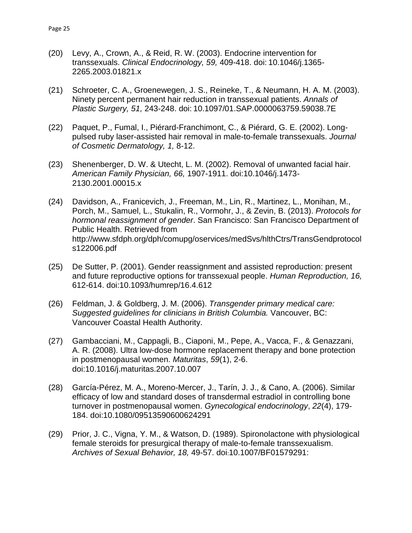- (20) Levy, A., Crown, A., & Reid, R. W. (2003). Endocrine intervention for transsexuals. *Clinical Endocrinology, 59,* 409-418. doi: 10.1046/j.1365- 2265.2003.01821.x
- (21) Schroeter, C. A., Groenewegen, J. S., Reineke, T., & Neumann, H. A. M. (2003). Ninety percent permanent hair reduction in transsexual patients. *Annals of Plastic Surgery, 51,* 243-248. doi: 10.1097/01.SAP.0000063759.59038.7E
- (22) Paquet, P., Fumal, I., Piérard-Franchimont, C., & Piérard, G. E. (2002). Longpulsed ruby laser-assisted hair removal in male-to-female transsexuals. *Journal of Cosmetic Dermatology, 1,* 8-12.
- (23) Shenenberger, D. W. & Utecht, L. M. (2002). Removal of unwanted facial hair. *American Family Physician, 66,* 1907-1911. doi:10.1046/j.1473- 2130.2001.00015.x
- (24) Davidson, A., Franicevich, J., Freeman, M., Lin, R., Martinez, L., Monihan, M., Porch, M., Samuel, L., Stukalin, R., Vormohr, J., & Zevin, B. (2013). *Protocols for hormonal reassignment of gender*. San Francisco: San Francisco Department of Public Health. Retrieved from http://www.sfdph.org/dph/comupg/oservices/medSvs/hlthCtrs/TransGendprotocol s122006.pdf
- (25) De Sutter, P. (2001). Gender reassignment and assisted reproduction: present and future reproductive options for transsexual people. *Human Reproduction, 16,* 612-614. doi:10.1093/humrep/16.4.612
- (26) Feldman, J. & Goldberg, J. M. (2006). *Transgender primary medical care: Suggested guidelines for clinicians in British Columbia.* Vancouver, BC: Vancouver Coastal Health Authority.
- (27) Gambacciani, M., Cappagli, B., Ciaponi, M., Pepe, A., Vacca, F., & Genazzani, A. R. (2008). Ultra low-dose hormone replacement therapy and bone protection in postmenopausal women. *Maturitas*, *59*(1), 2-6. doi:10.1016/j.maturitas.2007.10.007
- (28) García-Pérez, M. A., Moreno-Mercer, J., Tarín, J. J., & Cano, A. (2006). Similar efficacy of low and standard doses of transdermal estradiol in controlling bone turnover in postmenopausal women. *Gynecological endocrinology*, *22*(4), 179- 184. doi:10.1080/09513590600624291
- (29) Prior, J. C., Vigna, Y. M., & Watson, D. (1989). Spironolactone with physiological female steroids for presurgical therapy of male-to-female transsexualism. *Archives of Sexual Behavior, 18,* 49-57. doi:10.1007/BF01579291: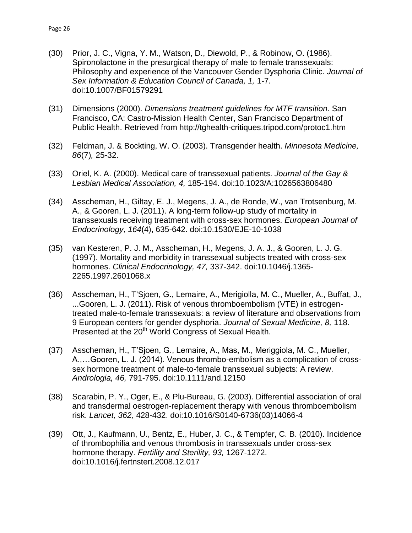- (30) Prior, J. C., Vigna, Y. M., Watson, D., Diewold, P., & Robinow, O. (1986). Spironolactone in the presurgical therapy of male to female transsexuals: Philosophy and experience of the Vancouver Gender Dysphoria Clinic. *Journal of Sex Information & Education Council of Canada, 1,* 1-7. doi:10.1007/BF01579291
- (31) Dimensions (2000). *Dimensions treatment guidelines for MTF transition*. San Francisco, CA: Castro-Mission Health Center, San Francisco Department of Public Health. Retrieved from http://tghealth-critiques.tripod.com/protoc1.htm
- (32) Feldman, J. & Bockting, W. O. (2003). Transgender health. *Minnesota Medicine, 86*(7)*,* 25-32.
- (33) Oriel, K. A. (2000). Medical care of transsexual patients. *Journal of the Gay & Lesbian Medical Association, 4,* 185-194. doi:10.1023/A:1026563806480
- (34) Asscheman, H., Giltay, E. J., Megens, J. A., de Ronde, W., van Trotsenburg, M. A., & Gooren, L. J. (2011). A long-term follow-up study of mortality in transsexuals receiving treatment with cross-sex hormones. *European Journal of Endocrinology*, *164*(4), 635-642. doi:10.1530/EJE-10-1038
- (35) van Kesteren, P. J. M., Asscheman, H., Megens, J. A. J., & Gooren, L. J. G. (1997). Mortality and morbidity in transsexual subjects treated with cross-sex hormones. *Clinical Endocrinology, 47,* 337-342. doi:10.1046/j.1365- 2265.1997.2601068.x
- (36) Asscheman, H., T'Sjoen, G., Lemaire, A., Merigiolla, M. C., Mueller, A., Buffat, J., ...Gooren, L. J. (2011). Risk of venous thromboembolism (VTE) in estrogentreated male-to-female transsexuals: a review of literature and observations from 9 European centers for gender dysphoria. *Journal of Sexual Medicine, 8,* 118. Presented at the 20<sup>th</sup> World Congress of Sexual Health.
- (37) Asscheman, H., T'Sjoen, G., Lemaire, A., Mas, M., Meriggiola, M. C., Mueller, A.,…Gooren, L. J. (2014). Venous thrombo-embolism as a complication of crosssex hormone treatment of male-to-female transsexual subjects: A review. *Andrologia, 46,* 791-795. doi:10.1111/and.12150
- (38) Scarabin, P. Y., Oger, E., & Plu-Bureau, G. (2003). Differential association of oral and transdermal oestrogen-replacement therapy with venous thromboembolism risk. *Lancet, 362,* 428-432. doi:10.1016/S0140-6736(03)14066-4
- (39) Ott, J., Kaufmann, U., Bentz, E., Huber, J. C., & Tempfer, C. B. (2010). Incidence of thrombophilia and venous thrombosis in transsexuals under cross-sex hormone therapy. *Fertility and Sterility, 93,* 1267-1272. doi:10.1016/j.fertnstert.2008.12.017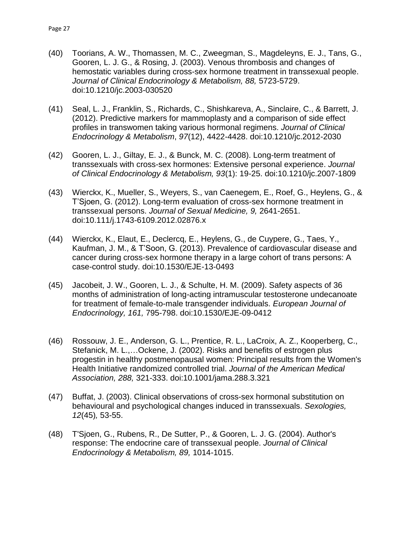- (40) Toorians, A. W., Thomassen, M. C., Zweegman, S., Magdeleyns, E. J., Tans, G., Gooren, L. J. G., & Rosing, J. (2003). Venous thrombosis and changes of hemostatic variables during cross-sex hormone treatment in transsexual people. *Journal of Clinical Endocrinology & Metabolism, 88,* 5723-5729. doi:10.1210/jc.2003-030520
- (41) Seal, L. J., Franklin, S., Richards, C., Shishkareva, A., Sinclaire, C., & Barrett, J. (2012). Predictive markers for mammoplasty and a comparison of side effect profiles in transwomen taking various hormonal regimens. *Journal of Clinical Endocrinology & Metabolism*, *97*(12), 4422-4428. doi:10.1210/jc.2012-2030
- (42) Gooren, L. J., Giltay, E. J., & Bunck, M. C. (2008). Long-term treatment of transsexuals with cross-sex hormones: Extensive personal experience. *Journal of Clinical Endocrinology & Metabolism, 93*(1): 19-25. doi:10.1210/jc.2007-1809
- (43) Wierckx, K., Mueller, S., Weyers, S., van Caenegem, E., Roef, G., Heylens, G., & T'Sjoen, G. (2012). Long-term evaluation of cross-sex hormone treatment in transsexual persons. *Journal of Sexual Medicine, 9,* 2641-2651. doi:10.111/j.1743-6109.2012.02876.x
- (44) Wierckx, K., Elaut, E., Declercq, E., Heylens, G., de Cuypere, G., Taes, Y., Kaufman, J. M., & T'Soon, G. (2013). Prevalence of cardiovascular disease and cancer during cross-sex hormone therapy in a large cohort of trans persons: A case-control study. doi:10.1530/EJE-13-0493
- (45) Jacobeit, J. W., Gooren, L. J., & Schulte, H. M. (2009). Safety aspects of 36 months of administration of long-acting intramuscular testosterone undecanoate for treatment of female-to-male transgender individuals. *European Journal of Endocrinology, 161,* 795-798. doi:10.1530/EJE-09-0412
- (46) Rossouw, J. E., Anderson, G. L., Prentice, R. L., LaCroix, A. Z., Kooperberg, C., Stefanick, M. L.,…Ockene, J. (2002). Risks and benefits of estrogen plus progestin in healthy postmenopausal women: Principal results from the Women's Health Initiative randomized controlled trial. *Journal of the American Medical Association, 288,* 321-333. doi:10.1001/jama.288.3.321
- (47) Buffat, J. (2003). Clinical observations of cross-sex hormonal substitution on behavioural and psychological changes induced in transsexuals. *Sexologies, 12*(45)*,* 53-55.
- (48) T'Sjoen, G., Rubens, R., De Sutter, P., & Gooren, L. J. G. (2004). Author's response: The endocrine care of transsexual people. *Journal of Clinical Endocrinology & Metabolism, 89,* 1014-1015.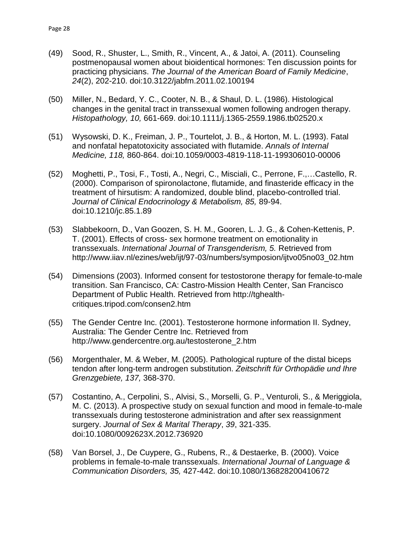- (49) Sood, R., Shuster, L., Smith, R., Vincent, A., & Jatoi, A. (2011). Counseling postmenopausal women about bioidentical hormones: Ten discussion points for practicing physicians. *The Journal of the American Board of Family Medicine*, *24*(2), 202-210. doi:10.3122/jabfm.2011.02.100194
- (50) Miller, N., Bedard, Y. C., Cooter, N. B., & Shaul, D. L. (1986). Histological changes in the genital tract in transsexual women following androgen therapy. *Histopathology, 10,* 661-669. doi:10.1111/j.1365-2559.1986.tb02520.x
- (51) Wysowski, D. K., Freiman, J. P., Tourtelot, J. B., & Horton, M. L. (1993). Fatal and nonfatal hepatotoxicity associated with flutamide. *Annals of Internal Medicine, 118,* 860-864. doi:10.1059/0003-4819-118-11-199306010-00006
- (52) Moghetti, P., Tosi, F., Tosti, A., Negri, C., Misciali, C., Perrone, F.,…Castello, R. (2000). Comparison of spironolactone, flutamide, and finasteride efficacy in the treatment of hirsutism: A randomized, double blind, placebo-controlled trial. *Journal of Clinical Endocrinology & Metabolism, 85,* 89-94. doi:10.1210/jc.85.1.89
- (53) Slabbekoorn, D., Van Goozen, S. H. M., Gooren, L. J. G., & Cohen-Kettenis, P. T. (2001). Effects of cross- sex hormone treatment on emotionality in transsexuals. *International Journal of Transgenderism, 5.* Retrieved from http://www.iiav.nl/ezines/web/ijt/97-03/numbers/symposion/ijtvo05no03\_02.htm
- (54) Dimensions (2003). Informed consent for testostorone therapy for female-to-male transition. San Francisco, CA: Castro-Mission Health Center, San Francisco Department of Public Health. Retrieved from [http://tghealth](http://tghealth-critiques.tripod.com/consen2.htm)[critiques.tripod.com/consen2.htm](http://tghealth-critiques.tripod.com/consen2.htm)
- (55) The Gender Centre Inc. (2001). Testosterone hormone information II. Sydney, Australia: The Gender Centre Inc. Retrieved from [http://www.gendercentre.org.au/testosterone\\_2.htm](http://www.gendercentre.org.au/testosterone_2.htm)
- (56) Morgenthaler, M. & Weber, M. (2005). Pathological rupture of the distal biceps tendon after long-term androgen substitution. *Zeitschrift für Orthopädie und Ihre Grenzgebiete, 137,* 368-370.
- (57) Costantino, A., Cerpolini, S., Alvisi, S., Morselli, G. P., Venturoli, S., & Meriggiola, M. C. (2013). A prospective study on sexual function and mood in female-to-male transsexuals during testosterone administration and after sex reassignment surgery. *Journal of Sex & Marital Therapy*, *39*, 321-335. doi:10.1080/0092623X.2012.736920
- (58) Van Borsel, J., De Cuypere, G., Rubens, R., & Destaerke, B. (2000). Voice problems in female-to-male transsexuals. *International Journal of Language & Communication Disorders, 35,* 427-442. doi:10.1080/136828200410672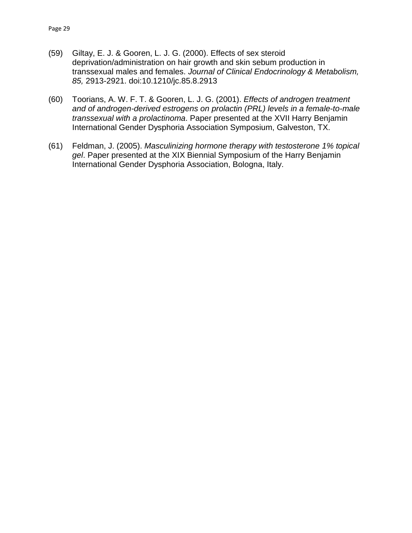- (59) Giltay, E. J. & Gooren, L. J. G. (2000). Effects of sex steroid deprivation/administration on hair growth and skin sebum production in transsexual males and females. *Journal of Clinical Endocrinology & Metabolism, 85,* 2913-2921. doi:10.1210/jc.85.8.2913
- (60) Toorians, A. W. F. T. & Gooren, L. J. G. (2001). *Effects of androgen treatment and of androgen-derived estrogens on prolactin (PRL) levels in a female-to-male transsexual with a prolactinoma*. Paper presented at the XVII Harry Benjamin International Gender Dysphoria Association Symposium, Galveston, TX.
- (61) Feldman, J. (2005). *Masculinizing hormone therapy with testosterone 1% topical gel*. Paper presented at the XIX Biennial Symposium of the Harry Benjamin International Gender Dysphoria Association, Bologna, Italy.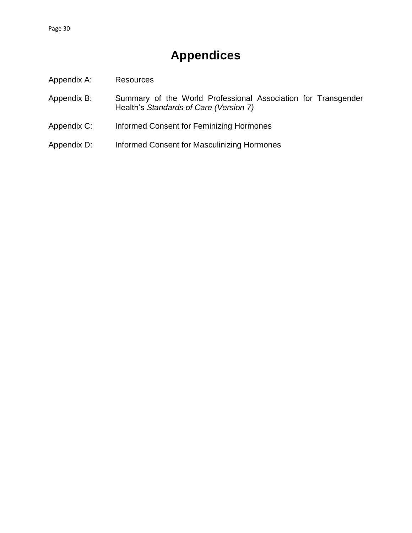# **Appendices**

- <span id="page-32-0"></span>Appendix A: Resources
- Appendix B: Summary of the World Professional Association for Transgender Health's *Standards of Care (Version 7)*
- Appendix C: Informed Consent for Feminizing Hormones
- Appendix D: Informed Consent for Masculinizing Hormones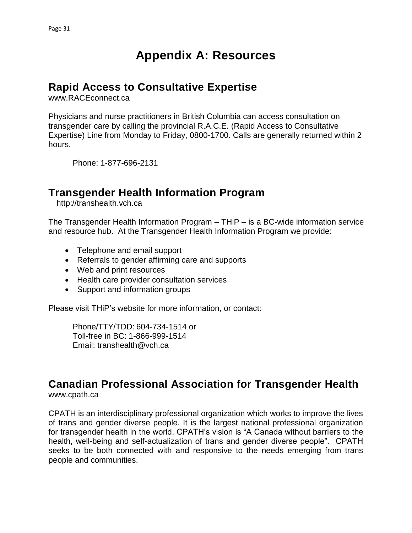# **Appendix A: Resources**

## <span id="page-33-1"></span><span id="page-33-0"></span>**Rapid Access to Consultative Expertise**

www.RACEconnect.ca

Physicians and nurse practitioners in British Columbia can access consultation on transgender care by calling the provincial R.A.C.E. (Rapid Access to Consultative Expertise) Line from Monday to Friday, 0800-1700. Calls are generally returned within 2 hours.

Phone: 1-877-696-2131

### <span id="page-33-2"></span>**Transgender Health Information Program**

http://transhealth.vch.ca

The Transgender Health Information Program – THiP – is a BC-wide information service and resource hub. At the Transgender Health Information Program we provide:

- Telephone and email support
- Referrals to gender affirming care and supports
- Web and print resources
- Health care provider consultation services
- Support and information groups

Please visit THiP's website for more information, or contact:

Phone/TTY/TDD: 604-734-1514 or Toll-free in BC: 1-866-999-1514 Email: [transhealth@vch.ca](mailto:transhealth@vch.ca)

### <span id="page-33-3"></span>**Canadian Professional Association for Transgender Health**

www.cpath.ca

CPATH is an interdisciplinary professional organization which works to improve the lives of trans and gender diverse people. It is the largest national professional organization for transgender health in the world. CPATH's vision is "A Canada without barriers to the health, well-being and self-actualization of trans and gender diverse people". CPATH seeks to be both connected with and responsive to the needs emerging from trans people and communities.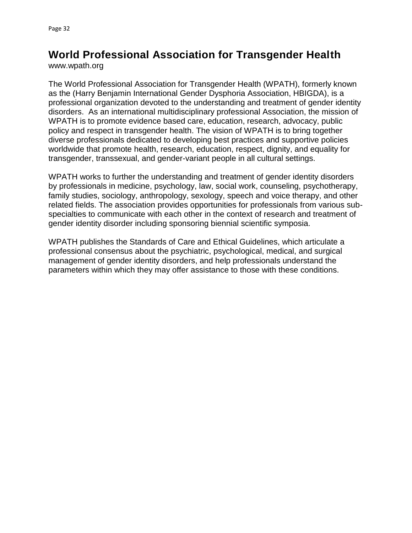# <span id="page-34-0"></span>**World Professional Association for Transgender Health**

www.wpath.org

The World Professional Association for Transgender Health (WPATH), formerly known as the (Harry Benjamin International Gender Dysphoria Association, HBIGDA), is a professional organization devoted to the understanding and treatment of gender identity disorders. As an international multidisciplinary professional Association, the mission of WPATH is to promote evidence based care, education, research, advocacy, public policy and respect in transgender health. The vision of WPATH is to bring together diverse professionals dedicated to developing best practices and supportive policies worldwide that promote health, research, education, respect, dignity, and equality for transgender, transsexual, and gender-variant people in all cultural settings.

WPATH works to further the understanding and treatment of gender identity disorders by professionals in medicine, psychology, law, social work, counseling, psychotherapy, family studies, sociology, anthropology, sexology, speech and voice therapy, and other related fields. The association provides opportunities for professionals from various subspecialties to communicate with each other in the context of research and treatment of gender identity disorder including sponsoring biennial scientific symposia.

WPATH publishes the Standards of Care and Ethical Guidelines, which articulate a professional consensus about the psychiatric, psychological, medical, and surgical management of gender identity disorders, and help professionals understand the parameters within which they may offer assistance to those with these conditions.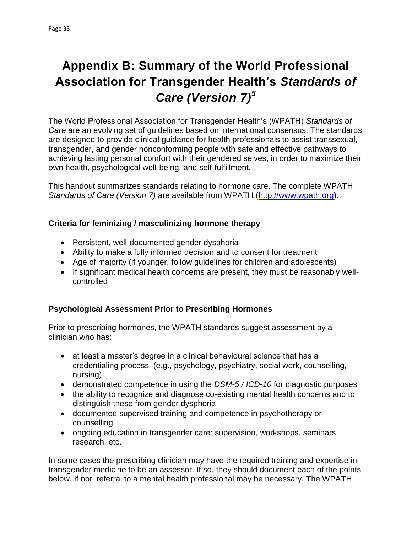# <span id="page-35-0"></span>**Appendix B: Summary of the World Professional Association for Transgender Health's** *Standards of Care (Version 7)<sup>5</sup>*

The World Professional Association for Transgender Health's (WPATH) *Standards of Care* are an evolving set of guidelines based on international consensus. The standards are designed to provide clinical guidance for health professionals to assist transsexual, transgender, and gender nonconforming people with safe and effective pathways to achieving lasting personal comfort with their gendered selves, in order to maximize their own health, psychological well-being, and self-fulfillment.

This handout summarizes standards relating to hormone care. The complete WPATH *Standards of Care (Version 7)* are available from WPATH [\(http://www.wpath.org\)](http://www.wpath.org/).

#### **Criteria for feminizing / masculinizing hormone therapy**

- Persistent, well-documented gender dysphoria
- Ability to make a fully informed decision and to consent for treatment
- Age of majority (if younger, follow guidelines for children and adolescents)
- If significant medical health concerns are present, they must be reasonably wellcontrolled

### **Psychological Assessment Prior to Prescribing Hormones**

Prior to prescribing hormones, the WPATH standards suggest assessment by a clinician who has:

- at least a master's degree in a clinical behavioural science that has a credentialing process (e.g., psychology, psychiatry, social work, counselling, nursing)
- demonstrated competence in using the *DSM-5 / ICD-10* for diagnostic purposes
- the ability to recognize and diagnose co-existing mental health concerns and to distinguish these from gender dysphoria
- documented supervised training and competence in psychotherapy or counselling
- ongoing education in transgender care: supervision, workshops, seminars, research, etc.

In some cases the prescribing clinician may have the required training and expertise in transgender medicine to be an assessor. If so, they should document each of the points below. If not, referral to a mental health professional may be necessary. The WPATH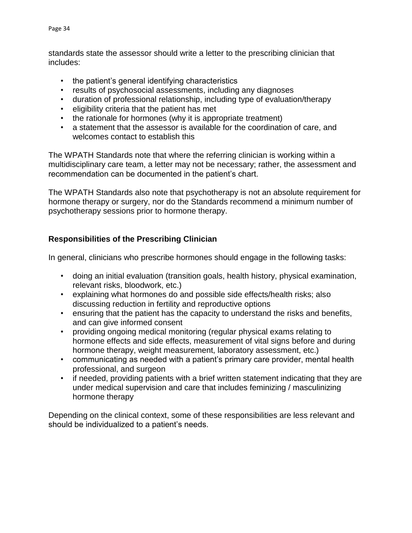standards state the assessor should write a letter to the prescribing clinician that includes:

- the patient's general identifying characteristics
- results of psychosocial assessments, including any diagnoses
- duration of professional relationship, including type of evaluation/therapy
- eligibility criteria that the patient has met
- the rationale for hormones (why it is appropriate treatment)
- a statement that the assessor is available for the coordination of care, and welcomes contact to establish this

The WPATH Standards note that where the referring clinician is working within a multidisciplinary care team, a letter may not be necessary; rather, the assessment and recommendation can be documented in the patient's chart.

The WPATH Standards also note that psychotherapy is not an absolute requirement for hormone therapy or surgery, nor do the Standards recommend a minimum number of psychotherapy sessions prior to hormone therapy.

#### **Responsibilities of the Prescribing Clinician**

In general, clinicians who prescribe hormones should engage in the following tasks:

- doing an initial evaluation (transition goals, health history, physical examination, relevant risks, bloodwork, etc.)
- explaining what hormones do and possible side effects/health risks; also discussing reduction in fertility and reproductive options
- ensuring that the patient has the capacity to understand the risks and benefits, and can give informed consent
- providing ongoing medical monitoring (regular physical exams relating to hormone effects and side effects, measurement of vital signs before and during hormone therapy, weight measurement, laboratory assessment, etc.)
- communicating as needed with a patient's primary care provider, mental health professional, and surgeon
- if needed, providing patients with a brief written statement indicating that they are under medical supervision and care that includes feminizing / masculinizing hormone therapy

Depending on the clinical context, some of these responsibilities are less relevant and should be individualized to a patient's needs.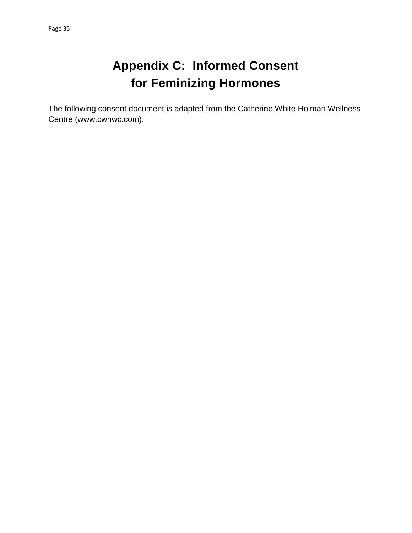# **Appendix C: Informed Consent for Feminizing Hormones**

<span id="page-37-0"></span>The following consent document is adapted from the Catherine White Holman Wellness Centre (www.cwhwc.com).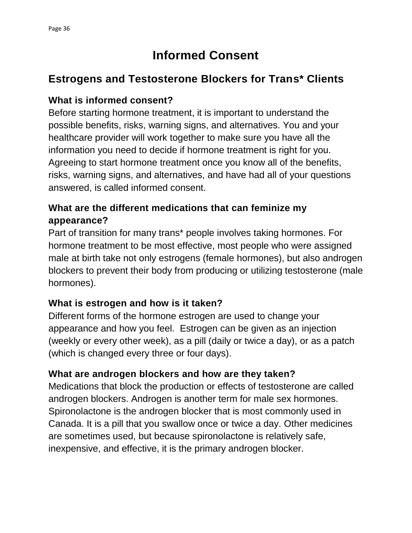# **Informed Consent**

## **Estrogens and Testosterone Blockers for Trans\* Clients**

### **What is informed consent?**

Before starting hormone treatment, it is important to understand the possible benefits, risks, warning signs, and alternatives. You and your healthcare provider will work together to make sure you have all the information you need to decide if hormone treatment is right for you. Agreeing to start hormone treatment once you know all of the benefits, risks, warning signs, and alternatives, and have had all of your questions answered, is called informed consent.

## **What are the different medications that can feminize my appearance?**

Part of transition for many trans\* people involves taking hormones. For hormone treatment to be most effective, most people who were assigned male at birth take not only estrogens (female hormones), but also androgen blockers to prevent their body from producing or utilizing testosterone (male hormones).

### **What is estrogen and how is it taken?**

Different forms of the hormone estrogen are used to change your appearance and how you feel. Estrogen can be given as an injection (weekly or every other week), as a pill (daily or twice a day), or as a patch (which is changed every three or four days).

### **What are androgen blockers and how are they taken?**

Medications that block the production or effects of testosterone are called androgen blockers. Androgen is another term for male sex hormones. Spironolactone is the androgen blocker that is most commonly used in Canada. It is a pill that you swallow once or twice a day. Other medicines are sometimes used, but because spironolactone is relatively safe, inexpensive, and effective, it is the primary androgen blocker.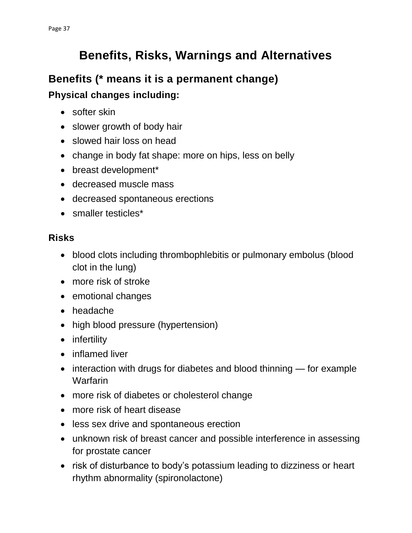# **Benefits, Risks, Warnings and Alternatives**

# **Benefits (\* means it is a permanent change) Physical changes including:**

- softer skin
- slower growth of body hair
- slowed hair loss on head
- change in body fat shape: more on hips, less on belly
- breast development\*
- decreased muscle mass
- decreased spontaneous erections
- smaller testicles\*

## **Risks**

- blood clots including thrombophlebitis or pulmonary embolus (blood clot in the lung)
- more risk of stroke
- emotional changes
- headache
- high blood pressure (hypertension)
- infertility
- inflamed liver
- interaction with drugs for diabetes and blood thinning for example Warfarin
- more risk of diabetes or cholesterol change
- more risk of heart disease
- less sex drive and spontaneous erection
- unknown risk of breast cancer and possible interference in assessing for prostate cancer
- risk of disturbance to body's potassium leading to dizziness or heart rhythm abnormality (spironolactone)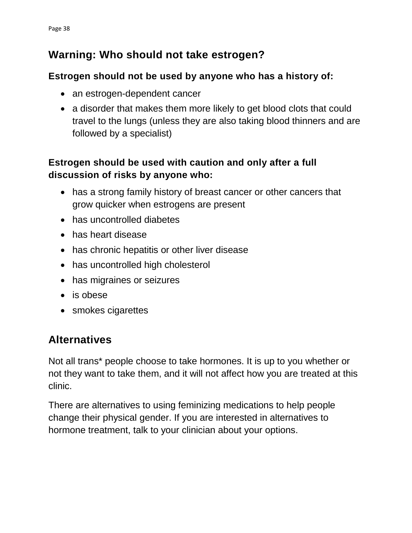## **Warning: Who should not take estrogen?**

### **Estrogen should not be used by anyone who has a history of:**

- an estrogen-dependent cancer
- a disorder that makes them more likely to get blood clots that could travel to the lungs (unless they are also taking blood thinners and are followed by a specialist)

## **Estrogen should be used with caution and only after a full discussion of risks by anyone who:**

- has a strong family history of breast cancer or other cancers that grow quicker when estrogens are present
- has uncontrolled diabetes
- has heart disease
- has chronic hepatitis or other liver disease
- has uncontrolled high cholesterol
- has migraines or seizures
- is obese
- smokes cigarettes

# **Alternatives**

Not all trans\* people choose to take hormones. It is up to you whether or not they want to take them, and it will not affect how you are treated at this clinic.

There are alternatives to using feminizing medications to help people change their physical gender. If you are interested in alternatives to hormone treatment, talk to your clinician about your options.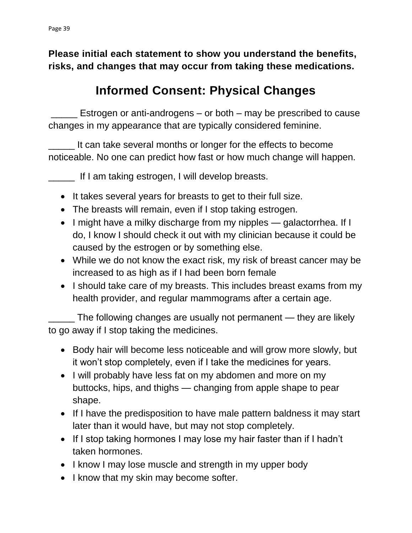**Please initial each statement to show you understand the benefits, risks, and changes that may occur from taking these medications.**

# **Informed Consent: Physical Changes**

Estrogen or anti-androgens – or both – may be prescribed to cause changes in my appearance that are typically considered feminine.

It can take several months or longer for the effects to become noticeable. No one can predict how fast or how much change will happen.

\_\_\_\_\_ If I am taking estrogen, I will develop breasts.

- It takes several years for breasts to get to their full size.
- The breasts will remain, even if I stop taking estrogen.
- I might have a milky discharge from my nipples galactorrhea. If I do, I know I should check it out with my clinician because it could be caused by the estrogen or by something else.
- While we do not know the exact risk, my risk of breast cancer may be increased to as high as if I had been born female
- I should take care of my breasts. This includes breast exams from my health provider, and regular mammograms after a certain age.

\_\_\_\_\_ The following changes are usually not permanent — they are likely to go away if I stop taking the medicines.

- Body hair will become less noticeable and will grow more slowly, but it won't stop completely, even if I take the medicines for years.
- I will probably have less fat on my abdomen and more on my buttocks, hips, and thighs — changing from apple shape to pear shape.
- If I have the predisposition to have male pattern baldness it may start later than it would have, but may not stop completely.
- If I stop taking hormones I may lose my hair faster than if I hadn't taken hormones.
- I know I may lose muscle and strength in my upper body
- I know that my skin may become softer.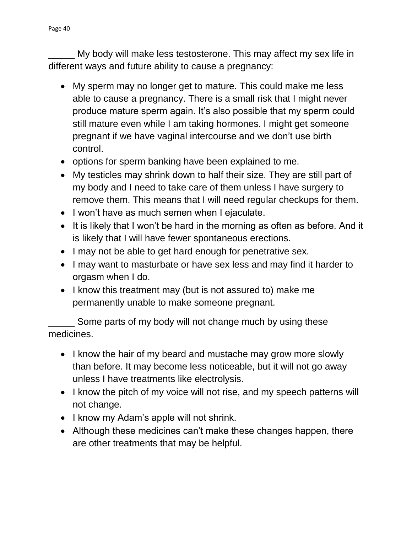My body will make less testosterone. This may affect my sex life in different ways and future ability to cause a pregnancy:

- My sperm may no longer get to mature. This could make me less able to cause a pregnancy. There is a small risk that I might never produce mature sperm again. It's also possible that my sperm could still mature even while I am taking hormones. I might get someone pregnant if we have vaginal intercourse and we don't use birth control.
- options for sperm banking have been explained to me.
- My testicles may shrink down to half their size. They are still part of my body and I need to take care of them unless I have surgery to remove them. This means that I will need regular checkups for them.
- I won't have as much semen when I ejaculate.
- It is likely that I won't be hard in the morning as often as before. And it is likely that I will have fewer spontaneous erections.
- I may not be able to get hard enough for penetrative sex.
- I may want to masturbate or have sex less and may find it harder to orgasm when I do.
- I know this treatment may (but is not assured to) make me permanently unable to make someone pregnant.

Some parts of my body will not change much by using these medicines.

- I know the hair of my beard and mustache may grow more slowly than before. It may become less noticeable, but it will not go away unless I have treatments like electrolysis.
- I know the pitch of my voice will not rise, and my speech patterns will not change.
- I know my Adam's apple will not shrink.
- Although these medicines can't make these changes happen, there are other treatments that may be helpful.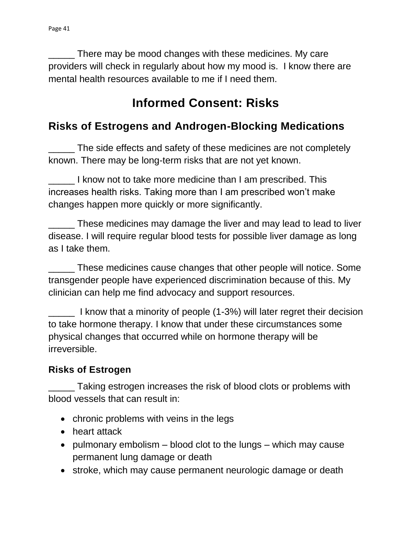\_\_\_\_\_ There may be mood changes with these medicines. My care providers will check in regularly about how my mood is. I know there are mental health resources available to me if I need them.

# **Informed Consent: Risks**

## **Risks of Estrogens and Androgen-Blocking Medications**

The side effects and safety of these medicines are not completely known. There may be long-term risks that are not yet known.

I know not to take more medicine than I am prescribed. This increases health risks. Taking more than I am prescribed won't make changes happen more quickly or more significantly.

\_\_\_\_\_ These medicines may damage the liver and may lead to lead to liver disease. I will require regular blood tests for possible liver damage as long as I take them.

\_\_\_\_\_ These medicines cause changes that other people will notice. Some transgender people have experienced discrimination because of this. My clinician can help me find advocacy and support resources.

\_\_\_\_\_ I know that a minority of people (1-3%) will later regret their decision to take hormone therapy. I know that under these circumstances some physical changes that occurred while on hormone therapy will be irreversible.

### **Risks of Estrogen**

\_\_\_\_\_ Taking estrogen increases the risk of blood clots or problems with blood vessels that can result in:

- chronic problems with veins in the legs
- heart attack
- pulmonary embolism  $-$  blood clot to the lungs  $-$  which may cause permanent lung damage or death
- stroke, which may cause permanent neurologic damage or death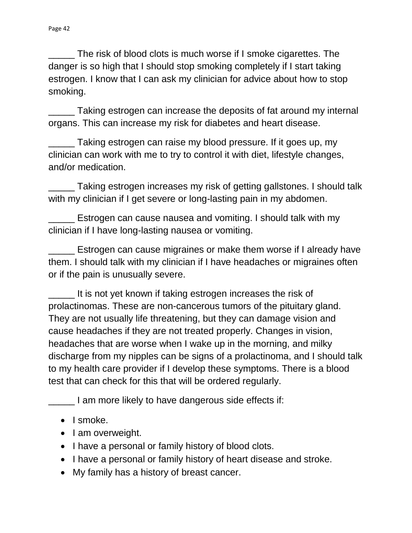\_\_\_\_\_ The risk of blood clots is much worse if I smoke cigarettes. The danger is so high that I should stop smoking completely if I start taking estrogen. I know that I can ask my clinician for advice about how to stop smoking.

\_\_\_\_\_ Taking estrogen can increase the deposits of fat around my internal organs. This can increase my risk for diabetes and heart disease.

\_\_\_\_\_ Taking estrogen can raise my blood pressure. If it goes up, my clinician can work with me to try to control it with diet, lifestyle changes, and/or medication.

\_\_\_\_\_ Taking estrogen increases my risk of getting gallstones. I should talk with my clinician if I get severe or long-lasting pain in my abdomen.

\_\_\_\_\_ Estrogen can cause nausea and vomiting. I should talk with my clinician if I have long-lasting nausea or vomiting.

\_\_\_\_\_ Estrogen can cause migraines or make them worse if I already have them. I should talk with my clinician if I have headaches or migraines often or if the pain is unusually severe.

\_\_\_\_\_ It is not yet known if taking estrogen increases the risk of prolactinomas. These are non-cancerous tumors of the pituitary gland. They are not usually life threatening, but they can damage vision and cause headaches if they are not treated properly. Changes in vision, headaches that are worse when I wake up in the morning, and milky discharge from my nipples can be signs of a prolactinoma, and I should talk to my health care provider if I develop these symptoms. There is a blood test that can check for this that will be ordered regularly.

**The light of the III** am more likely to have dangerous side effects if:

- $\bullet$  I smoke.
- I am overweight.
- I have a personal or family history of blood clots.
- I have a personal or family history of heart disease and stroke.
- My family has a history of breast cancer.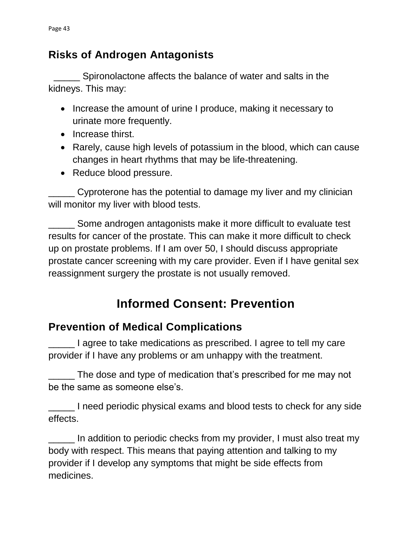## **Risks of Androgen Antagonists**

 \_\_\_\_\_ Spironolactone affects the balance of water and salts in the kidneys. This may:

- Increase the amount of urine I produce, making it necessary to urinate more frequently.
- Increase thirst.
- Rarely, cause high levels of potassium in the blood, which can cause changes in heart rhythms that may be life-threatening.
- Reduce blood pressure.

\_\_\_\_\_ Cyproterone has the potential to damage my liver and my clinician will monitor my liver with blood tests.

\_\_\_\_\_ Some androgen antagonists make it more difficult to evaluate test results for cancer of the prostate. This can make it more difficult to check up on prostate problems. If I am over 50, I should discuss appropriate prostate cancer screening with my care provider. Even if I have genital sex reassignment surgery the prostate is not usually removed.

# **Informed Consent: Prevention**

# **Prevention of Medical Complications**

\_\_\_\_\_ I agree to take medications as prescribed. I agree to tell my care provider if I have any problems or am unhappy with the treatment.

\_\_\_\_\_ The dose and type of medication that's prescribed for me may not be the same as someone else's.

\_\_\_\_\_ I need periodic physical exams and blood tests to check for any side effects.

In addition to periodic checks from my provider, I must also treat my body with respect. This means that paying attention and talking to my provider if I develop any symptoms that might be side effects from medicines.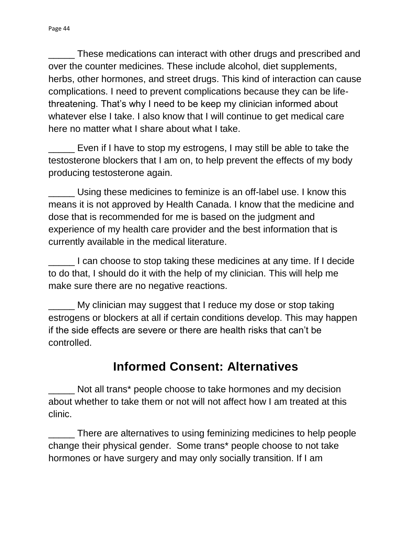\_\_\_\_\_ These medications can interact with other drugs and prescribed and over the counter medicines. These include alcohol, diet supplements, herbs, other hormones, and street drugs. This kind of interaction can cause complications. I need to prevent complications because they can be lifethreatening. That's why I need to be keep my clinician informed about whatever else I take. I also know that I will continue to get medical care here no matter what I share about what I take.

Even if I have to stop my estrogens, I may still be able to take the testosterone blockers that I am on, to help prevent the effects of my body producing testosterone again.

\_\_\_\_\_ Using these medicines to feminize is an off-label use. I know this means it is not approved by Health Canada. I know that the medicine and dose that is recommended for me is based on the judgment and experience of my health care provider and the best information that is currently available in the medical literature.

\_\_\_\_\_ I can choose to stop taking these medicines at any time. If I decide to do that, I should do it with the help of my clinician. This will help me make sure there are no negative reactions.

My clinician may suggest that I reduce my dose or stop taking estrogens or blockers at all if certain conditions develop. This may happen if the side effects are severe or there are health risks that can't be controlled.

# **Informed Consent: Alternatives**

Not all trans\* people choose to take hormones and my decision about whether to take them or not will not affect how I am treated at this clinic.

\_\_\_\_\_ There are alternatives to using feminizing medicines to help people change their physical gender. Some trans\* people choose to not take hormones or have surgery and may only socially transition. If I am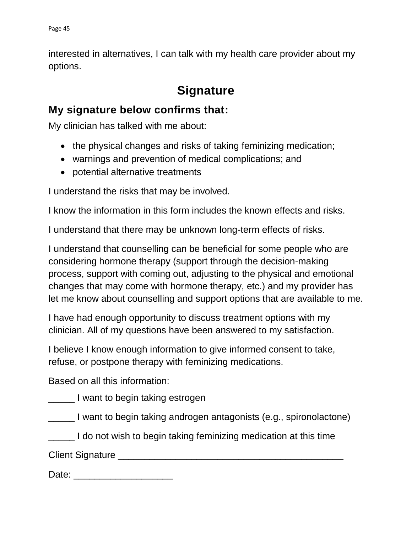interested in alternatives, I can talk with my health care provider about my options.

# **Signature**

## **My signature below confirms that:**

My clinician has talked with me about:

- the physical changes and risks of taking feminizing medication;
- warnings and prevention of medical complications; and
- potential alternative treatments

I understand the risks that may be involved.

I know the information in this form includes the known effects and risks.

I understand that there may be unknown long-term effects of risks.

I understand that counselling can be beneficial for some people who are considering hormone therapy (support through the decision-making process, support with coming out, adjusting to the physical and emotional changes that may come with hormone therapy, etc.) and my provider has let me know about counselling and support options that are available to me.

I have had enough opportunity to discuss treatment options with my clinician. All of my questions have been answered to my satisfaction.

I believe I know enough information to give informed consent to take, refuse, or postpone therapy with feminizing medications.

Based on all this information:

**The Leapers** I want to begin taking estrogen

\_\_\_\_\_ I want to begin taking androgen antagonists (e.g., spironolactone)

**The leap of the state of the state of the state of the leap is a state of the state of the state of the state i** 

Client Signature **Example 20** and 20 and 20 and 20 and 20 and 20 and 20 and 20 and 20 and 20 and 20 and 20 and 20 and 20 and 20 and 20 and 20 and 20 and 20 and 20 and 20 and 20 and 20 and 20 and 20 and 20 and 20 and 20 and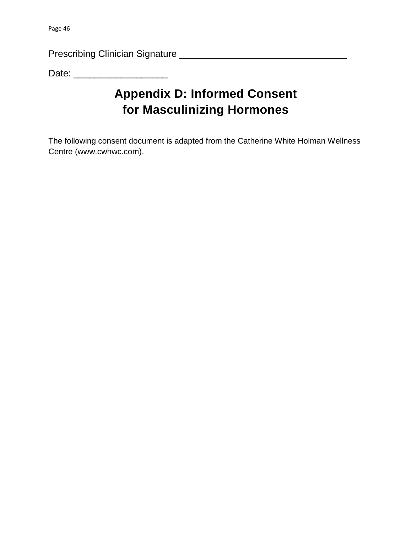Prescribing Clinician Signature \_\_\_\_\_\_\_\_\_\_\_\_\_\_\_\_\_\_\_\_\_\_\_\_\_\_\_\_\_\_\_\_

Date: \_\_\_\_\_\_\_\_\_\_\_\_\_\_\_\_\_\_

# <span id="page-48-0"></span>**Appendix D: Informed Consent for Masculinizing Hormones**

The following consent document is adapted from the Catherine White Holman Wellness Centre (www.cwhwc.com).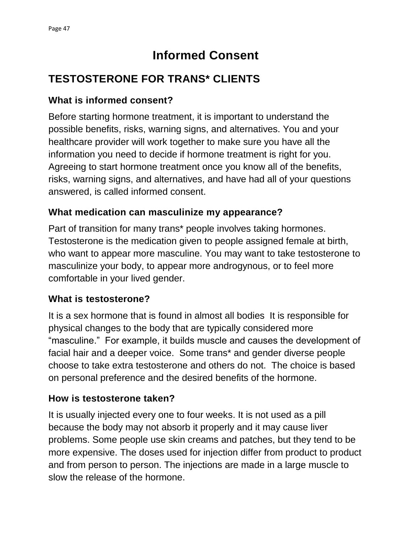# **Informed Consent**

## **TESTOSTERONE FOR TRANS\* CLIENTS**

### **What is informed consent?**

Before starting hormone treatment, it is important to understand the possible benefits, risks, warning signs, and alternatives. You and your healthcare provider will work together to make sure you have all the information you need to decide if hormone treatment is right for you. Agreeing to start hormone treatment once you know all of the benefits, risks, warning signs, and alternatives, and have had all of your questions answered, is called informed consent.

### **What medication can masculinize my appearance?**

Part of transition for many trans\* people involves taking hormones. Testosterone is the medication given to people assigned female at birth, who want to appear more masculine. You may want to take testosterone to masculinize your body, to appear more androgynous, or to feel more comfortable in your lived gender.

### **What is testosterone?**

It is a sex hormone that is found in almost all bodies It is responsible for physical changes to the body that are typically considered more "masculine." For example, it builds muscle and causes the development of facial hair and a deeper voice. Some trans\* and gender diverse people choose to take extra testosterone and others do not. The choice is based on personal preference and the desired benefits of the hormone.

### **How is testosterone taken?**

It is usually injected every one to four weeks. It is not used as a pill because the body may not absorb it properly and it may cause liver problems. Some people use skin creams and patches, but they tend to be more expensive. The doses used for injection differ from product to product and from person to person. The injections are made in a large muscle to slow the release of the hormone.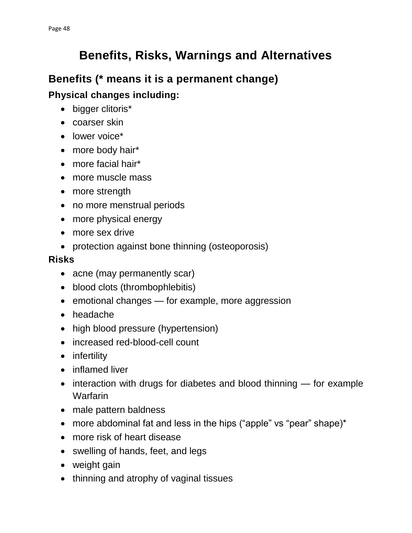# **Benefits, Risks, Warnings and Alternatives**

## **Benefits (\* means it is a permanent change)**

**Physical changes including:**

- bigger clitoris\*
- coarser skin
- lower voice\*
- more body hair\*
- more facial hair\*
- more muscle mass
- more strength
- no more menstrual periods
- more physical energy
- more sex drive
- protection against bone thinning (osteoporosis)

### **Risks**

- acne (may permanently scar)
- blood clots (thrombophlebitis)
- emotional changes for example, more aggression
- headache
- high blood pressure (hypertension)
- increased red-blood-cell count
- infertility
- inflamed liver
- interaction with drugs for diabetes and blood thinning for example Warfarin
- male pattern baldness
- more abdominal fat and less in the hips ("apple" vs "pear" shape)\*
- more risk of heart disease
- swelling of hands, feet, and legs
- weight gain
- thinning and atrophy of vaginal tissues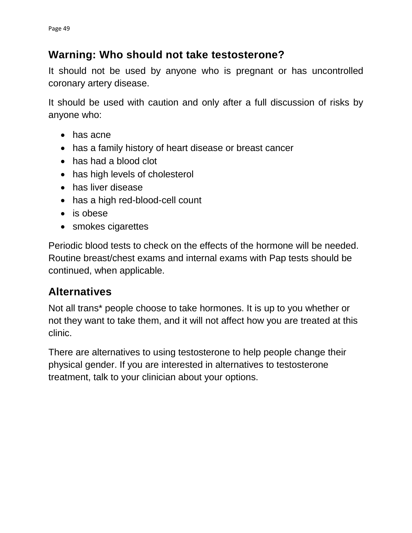## **Warning: Who should not take testosterone?**

It should not be used by anyone who is pregnant or has uncontrolled coronary artery disease.

It should be used with caution and only after a full discussion of risks by anyone who:

- has acne
- has a family history of heart disease or breast cancer
- has had a blood clot
- has high levels of cholesterol
- has liver disease
- has a high red-blood-cell count
- is obese
- smokes cigarettes

Periodic blood tests to check on the effects of the hormone will be needed. Routine breast/chest exams and internal exams with Pap tests should be continued, when applicable.

## **Alternatives**

Not all trans\* people choose to take hormones. It is up to you whether or not they want to take them, and it will not affect how you are treated at this clinic.

There are alternatives to using testosterone to help people change their physical gender. If you are interested in alternatives to testosterone treatment, talk to your clinician about your options.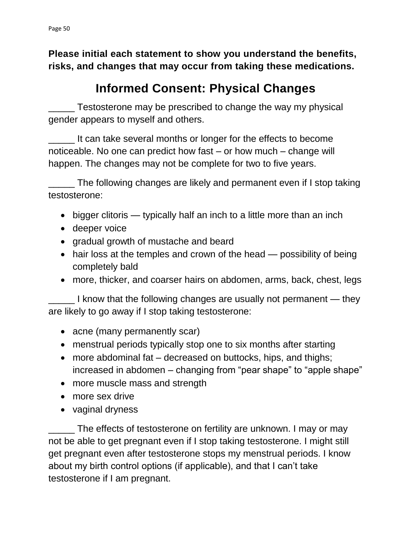**Please initial each statement to show you understand the benefits, risks, and changes that may occur from taking these medications.**

# **Informed Consent: Physical Changes**

\_\_\_\_\_ Testosterone may be prescribed to change the way my physical gender appears to myself and others.

It can take several months or longer for the effects to become noticeable. No one can predict how fast – or how much – change will happen. The changes may not be complete for two to five years.

\_\_\_\_\_ The following changes are likely and permanent even if I stop taking testosterone:

- bigger clitoris typically half an inch to a little more than an inch
- deeper voice
- gradual growth of mustache and beard
- hair loss at the temples and crown of the head possibility of being completely bald
- more, thicker, and coarser hairs on abdomen, arms, back, chest, legs

\_\_\_\_\_ I know that the following changes are usually not permanent — they are likely to go away if I stop taking testosterone:

- acne (many permanently scar)
- menstrual periods typically stop one to six months after starting
- more abdominal fat decreased on buttocks, hips, and thighs; increased in abdomen – changing from "pear shape" to "apple shape"
- more muscle mass and strength
- more sex drive
- vaginal dryness

\_\_\_\_\_ The effects of testosterone on fertility are unknown. I may or may not be able to get pregnant even if I stop taking testosterone. I might still get pregnant even after testosterone stops my menstrual periods. I know about my birth control options (if applicable), and that I can't take testosterone if I am pregnant.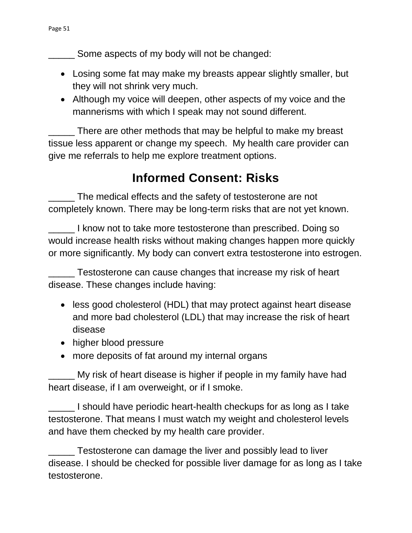Some aspects of my body will not be changed:

- Losing some fat may make my breasts appear slightly smaller, but they will not shrink very much.
- Although my voice will deepen, other aspects of my voice and the mannerisms with which I speak may not sound different.

There are other methods that may be helpful to make my breast tissue less apparent or change my speech. My health care provider can give me referrals to help me explore treatment options.

# **Informed Consent: Risks**

\_\_\_\_\_ The medical effects and the safety of testosterone are not completely known. There may be long-term risks that are not yet known.

\_\_\_\_\_ I know not to take more testosterone than prescribed. Doing so would increase health risks without making changes happen more quickly or more significantly. My body can convert extra testosterone into estrogen.

\_\_\_\_\_ Testosterone can cause changes that increase my risk of heart disease. These changes include having:

- less good cholesterol (HDL) that may protect against heart disease and more bad cholesterol (LDL) that may increase the risk of heart disease
- higher blood pressure
- more deposits of fat around my internal organs

\_\_\_\_\_ My risk of heart disease is higher if people in my family have had heart disease, if I am overweight, or if I smoke.

\_\_\_\_\_ I should have periodic heart-health checkups for as long as I take testosterone. That means I must watch my weight and cholesterol levels and have them checked by my health care provider.

\_\_\_\_\_ Testosterone can damage the liver and possibly lead to liver disease. I should be checked for possible liver damage for as long as I take testosterone.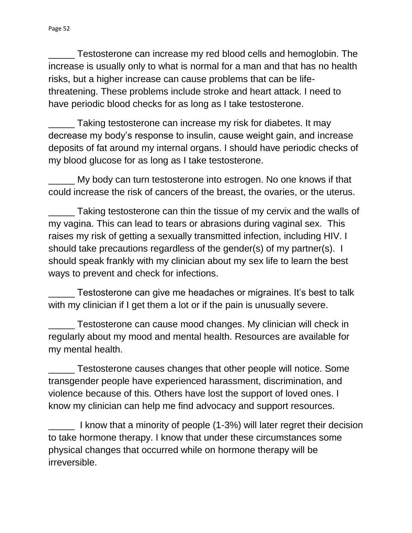\_\_\_\_\_ Testosterone can increase my red blood cells and hemoglobin. The increase is usually only to what is normal for a man and that has no health risks, but a higher increase can cause problems that can be lifethreatening. These problems include stroke and heart attack. I need to have periodic blood checks for as long as I take testosterone.

Taking testosterone can increase my risk for diabetes. It may decrease my body's response to insulin, cause weight gain, and increase deposits of fat around my internal organs. I should have periodic checks of my blood glucose for as long as I take testosterone.

\_\_\_\_\_ My body can turn testosterone into estrogen. No one knows if that could increase the risk of cancers of the breast, the ovaries, or the uterus.

Taking testosterone can thin the tissue of my cervix and the walls of my vagina. This can lead to tears or abrasions during vaginal sex. This raises my risk of getting a sexually transmitted infection, including HIV. I should take precautions regardless of the gender(s) of my partner(s). I should speak frankly with my clinician about my sex life to learn the best ways to prevent and check for infections.

Testosterone can give me headaches or migraines. It's best to talk with my clinician if I get them a lot or if the pain is unusually severe.

\_\_\_\_\_ Testosterone can cause mood changes. My clinician will check in regularly about my mood and mental health. Resources are available for my mental health.

\_\_\_\_\_ Testosterone causes changes that other people will notice. Some transgender people have experienced harassment, discrimination, and violence because of this. Others have lost the support of loved ones. I know my clinician can help me find advocacy and support resources.

\_\_\_\_\_ I know that a minority of people (1-3%) will later regret their decision to take hormone therapy. I know that under these circumstances some physical changes that occurred while on hormone therapy will be irreversible.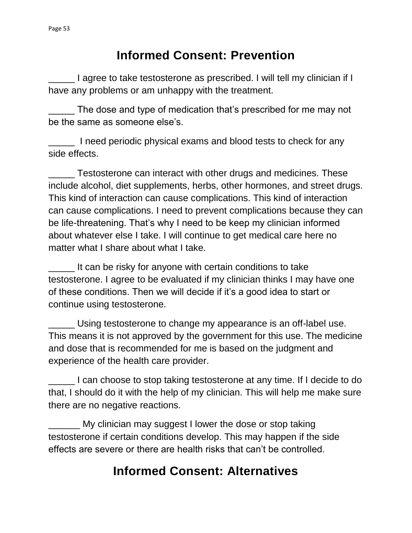# **Informed Consent: Prevention**

\_\_\_\_\_ I agree to take testosterone as prescribed. I will tell my clinician if I have any problems or am unhappy with the treatment.

\_\_\_\_\_ The dose and type of medication that's prescribed for me may not be the same as someone else's.

I need periodic physical exams and blood tests to check for any side effects.

\_\_\_\_\_ Testosterone can interact with other drugs and medicines. These include alcohol, diet supplements, herbs, other hormones, and street drugs. This kind of interaction can cause complications. This kind of interaction can cause complications. I need to prevent complications because they can be life-threatening. That's why I need to be keep my clinician informed about whatever else I take. I will continue to get medical care here no matter what I share about what I take.

It can be risky for anyone with certain conditions to take testosterone. I agree to be evaluated if my clinician thinks I may have one of these conditions. Then we will decide if it's a good idea to start or continue using testosterone.

\_\_\_\_\_ Using testosterone to change my appearance is an off-label use. This means it is not approved by the government for this use. The medicine and dose that is recommended for me is based on the judgment and experience of the health care provider.

\_\_\_\_\_ I can choose to stop taking testosterone at any time. If I decide to do that, I should do it with the help of my clinician. This will help me make sure there are no negative reactions.

\_\_\_\_\_\_ My clinician may suggest I lower the dose or stop taking testosterone if certain conditions develop. This may happen if the side effects are severe or there are health risks that can't be controlled.

# **Informed Consent: Alternatives**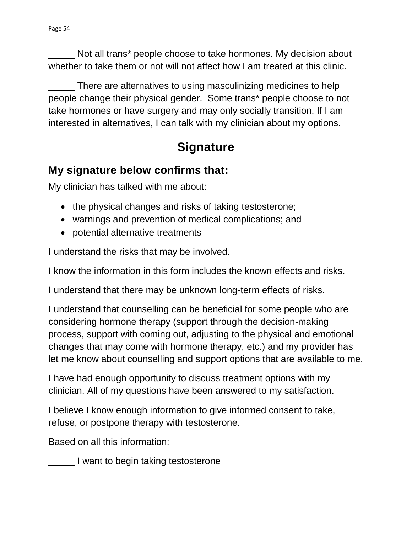Not all trans\* people choose to take hormones. My decision about whether to take them or not will not affect how I am treated at this clinic.

There are alternatives to using masculinizing medicines to help people change their physical gender. Some trans\* people choose to not take hormones or have surgery and may only socially transition. If I am interested in alternatives, I can talk with my clinician about my options.

# **Signature**

## **My signature below confirms that:**

My clinician has talked with me about:

- the physical changes and risks of taking testosterone;
- warnings and prevention of medical complications; and
- potential alternative treatments

I understand the risks that may be involved.

I know the information in this form includes the known effects and risks.

I understand that there may be unknown long-term effects of risks.

I understand that counselling can be beneficial for some people who are considering hormone therapy (support through the decision-making process, support with coming out, adjusting to the physical and emotional changes that may come with hormone therapy, etc.) and my provider has let me know about counselling and support options that are available to me.

I have had enough opportunity to discuss treatment options with my clinician. All of my questions have been answered to my satisfaction.

I believe I know enough information to give informed consent to take, refuse, or postpone therapy with testosterone.

Based on all this information:

\_\_\_\_\_ I want to begin taking testosterone